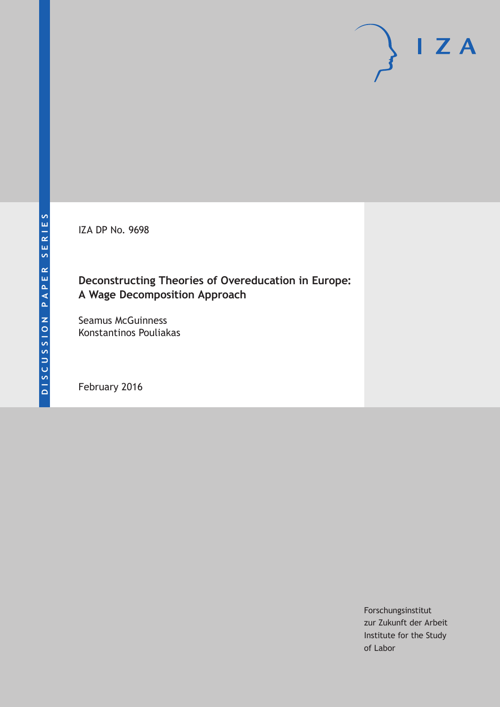IZA DP No. 9698

# **Deconstructing Theories of Overeducation in Europe: A Wage Decomposition Approach**

Seamus McGuinness Konstantinos Pouliakas

February 2016

Forschungsinstitut zur Zukunft der Arbeit Institute for the Study of Labor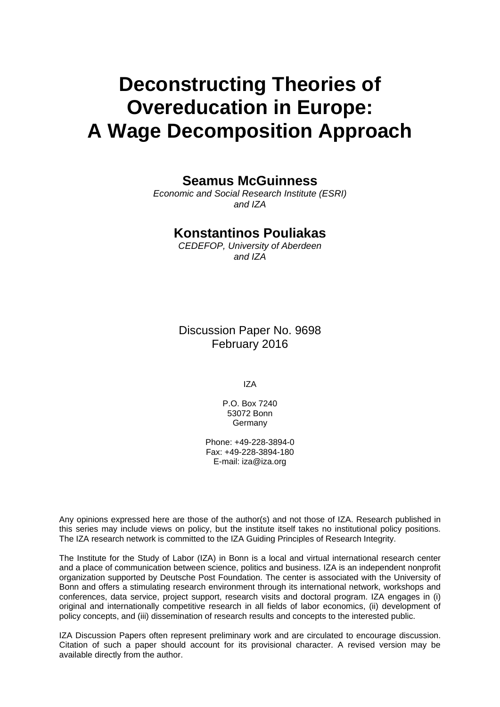# **Deconstructing Theories of Overeducation in Europe: A Wage Decomposition Approach**

## **Seamus McGuinness**

*Economic and Social Research Institute (ESRI) and IZA* 

### **Konstantinos Pouliakas**

*CEDEFOP, University of Aberdeen and IZA* 

Discussion Paper No. 9698 February 2016

IZA

P.O. Box 7240 53072 Bonn **Germany** 

Phone: +49-228-3894-0 Fax: +49-228-3894-180 E-mail: iza@iza.org

Any opinions expressed here are those of the author(s) and not those of IZA. Research published in this series may include views on policy, but the institute itself takes no institutional policy positions. The IZA research network is committed to the IZA Guiding Principles of Research Integrity.

The Institute for the Study of Labor (IZA) in Bonn is a local and virtual international research center and a place of communication between science, politics and business. IZA is an independent nonprofit organization supported by Deutsche Post Foundation. The center is associated with the University of Bonn and offers a stimulating research environment through its international network, workshops and conferences, data service, project support, research visits and doctoral program. IZA engages in (i) original and internationally competitive research in all fields of labor economics, (ii) development of policy concepts, and (iii) dissemination of research results and concepts to the interested public.

IZA Discussion Papers often represent preliminary work and are circulated to encourage discussion. Citation of such a paper should account for its provisional character. A revised version may be available directly from the author.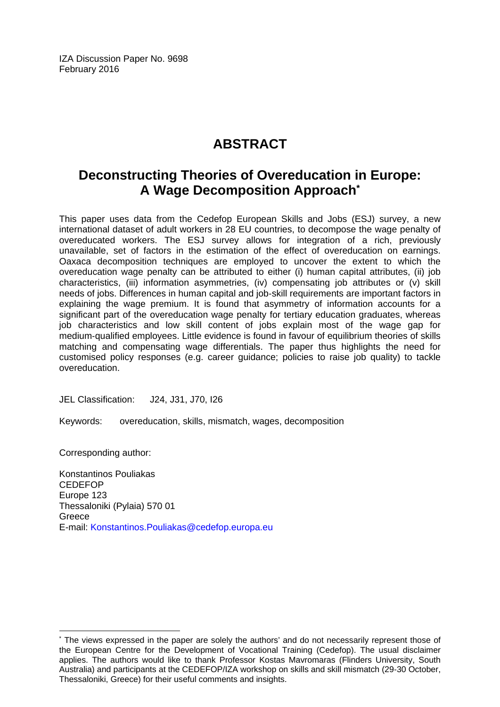IZA Discussion Paper No. 9698 February 2016

# **ABSTRACT**

# **Deconstructing Theories of Overeducation in Europe: A Wage Decomposition Approach\***

This paper uses data from the Cedefop European Skills and Jobs (ESJ) survey, a new international dataset of adult workers in 28 EU countries, to decompose the wage penalty of overeducated workers. The ESJ survey allows for integration of a rich, previously unavailable, set of factors in the estimation of the effect of overeducation on earnings. Oaxaca decomposition techniques are employed to uncover the extent to which the overeducation wage penalty can be attributed to either (i) human capital attributes, (ii) job characteristics, (iii) information asymmetries, (iv) compensating job attributes or (v) skill needs of jobs. Differences in human capital and job‐skill requirements are important factors in explaining the wage premium. It is found that asymmetry of information accounts for a significant part of the overeducation wage penalty for tertiary education graduates, whereas job characteristics and low skill content of jobs explain most of the wage gap for medium‐qualified employees. Little evidence is found in favour of equilibrium theories of skills matching and compensating wage differentials. The paper thus highlights the need for customised policy responses (e.g. career guidance; policies to raise job quality) to tackle overeducation.

JEL Classification: J24, J31, J70, I26

Keywords: overeducation, skills, mismatch, wages, decomposition

Corresponding author:

 $\overline{a}$ 

Konstantinos Pouliakas CEDEFOP Europe 123 Thessaloniki (Pylaia) 570 01 Greece E-mail: Konstantinos.Pouliakas@cedefop.europa.eu

<sup>\*</sup> The views expressed in the paper are solely the authors' and do not necessarily represent those of the European Centre for the Development of Vocational Training (Cedefop). The usual disclaimer applies. The authors would like to thank Professor Kostas Mavromaras (Flinders University, South Australia) and participants at the CEDEFOP/IZA workshop on skills and skill mismatch (29‐30 October, Thessaloniki, Greece) for their useful comments and insights.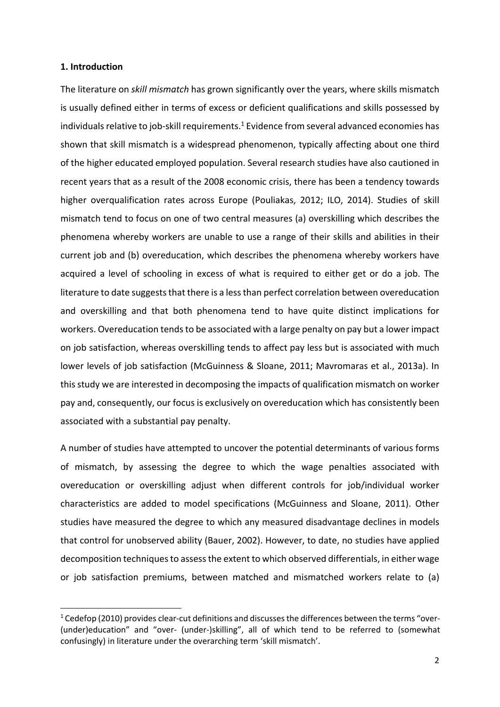#### **1. Introduction**

The literature on *skill mismatch* has grown significantly over the years, where skills mismatch is usually defined either in terms of excess or deficient qualifications and skills possessed by individuals relative to job-skill requirements.<sup>1</sup> Evidence from several advanced economies has shown that skill mismatch is a widespread phenomenon, typically affecting about one third of the higher educated employed population. Several research studies have also cautioned in recent years that as a result of the 2008 economic crisis, there has been a tendency towards higher overqualification rates across Europe (Pouliakas, 2012; ILO, 2014). Studies of skill mismatch tend to focus on one of two central measures (a) overskilling which describes the phenomena whereby workers are unable to use a range of their skills and abilities in their current job and (b) overeducation, which describes the phenomena whereby workers have acquired a level of schooling in excess of what is required to either get or do a job. The literature to date suggeststhat there is a lessthan perfect correlation between overeducation and overskilling and that both phenomena tend to have quite distinct implications for workers. Overeducation tends to be associated with a large penalty on pay but a lower impact on job satisfaction, whereas overskilling tends to affect pay less but is associated with much lower levels of job satisfaction (McGuinness & Sloane, 2011; Mavromaras et al., 2013a). In this study we are interested in decomposing the impacts of qualification mismatch on worker pay and, consequently, our focus is exclusively on overeducation which has consistently been associated with a substantial pay penalty.

A number of studies have attempted to uncover the potential determinants of various forms of mismatch, by assessing the degree to which the wage penalties associated with overeducation or overskilling adjust when different controls for job/individual worker characteristics are added to model specifications (McGuinness and Sloane, 2011). Other studies have measured the degree to which any measured disadvantage declines in models that control for unobserved ability (Bauer, 2002). However, to date, no studies have applied decomposition techniques to assess the extent to which observed differentials, in either wage or job satisfaction premiums, between matched and mismatched workers relate to (a)

 $1$  Cedefop (2010) provides clear-cut definitions and discusses the differences between the terms "over-(under)education" and "over‐ (under‐)skilling", all of which tend to be referred to (somewhat confusingly) in literature under the overarching term 'skill mismatch'.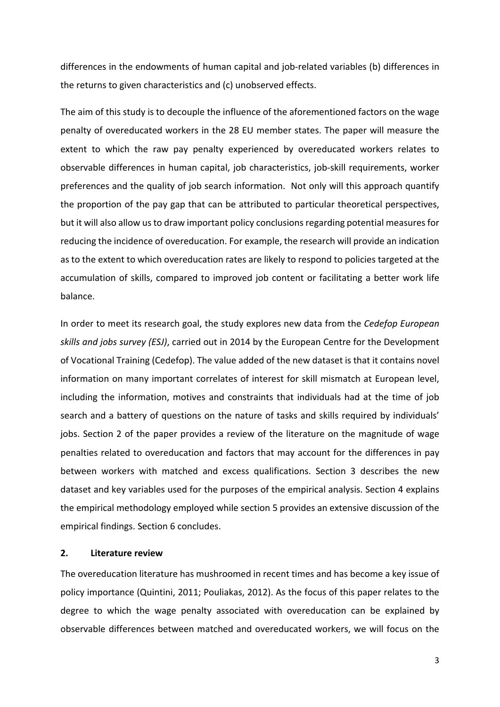differences in the endowments of human capital and job-related variables (b) differences in the returns to given characteristics and (c) unobserved effects.

The aim of this study is to decouple the influence of the aforementioned factors on the wage penalty of overeducated workers in the 28 EU member states. The paper will measure the extent to which the raw pay penalty experienced by overeducated workers relates to observable differences in human capital, job characteristics, job‐skill requirements, worker preferences and the quality of job search information. Not only will this approach quantify the proportion of the pay gap that can be attributed to particular theoretical perspectives, but it will also allow us to draw important policy conclusions regarding potential measures for reducing the incidence of overeducation. For example, the research will provide an indication as to the extent to which overeducation rates are likely to respond to policies targeted at the accumulation of skills, compared to improved job content or facilitating a better work life balance.

In order to meet its research goal, the study explores new data from the *Cedefop European skills and jobs survey (ESJ)*, carried out in 2014 by the European Centre for the Development of Vocational Training (Cedefop). The value added of the new dataset is that it contains novel information on many important correlates of interest for skill mismatch at European level, including the information, motives and constraints that individuals had at the time of job search and a battery of questions on the nature of tasks and skills required by individuals' jobs. Section 2 of the paper provides a review of the literature on the magnitude of wage penalties related to overeducation and factors that may account for the differences in pay between workers with matched and excess qualifications. Section 3 describes the new dataset and key variables used for the purposes of the empirical analysis. Section 4 explains the empirical methodology employed while section 5 provides an extensive discussion of the empirical findings. Section 6 concludes.

#### **2. Literature review**

The overeducation literature has mushroomed in recent times and has become a key issue of policy importance (Quintini, 2011; Pouliakas, 2012). As the focus of this paper relates to the degree to which the wage penalty associated with overeducation can be explained by observable differences between matched and overeducated workers, we will focus on the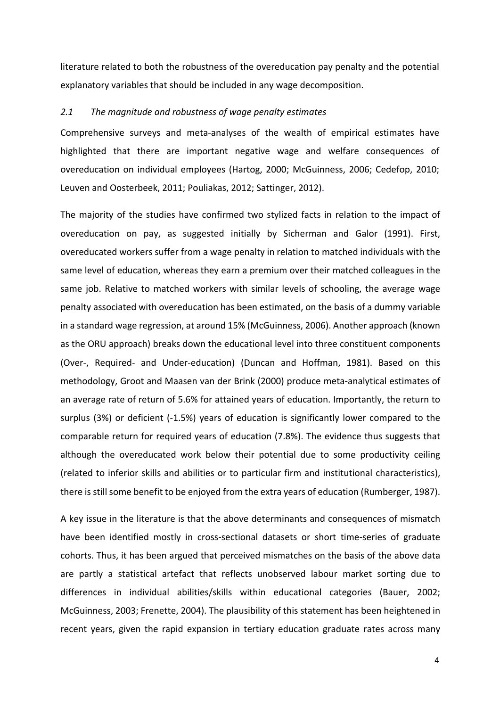literature related to both the robustness of the overeducation pay penalty and the potential explanatory variables that should be included in any wage decomposition.

#### *2.1 The magnitude and robustness of wage penalty estimates*

Comprehensive surveys and meta‐analyses of the wealth of empirical estimates have highlighted that there are important negative wage and welfare consequences of overeducation on individual employees (Hartog, 2000; McGuinness, 2006; Cedefop, 2010; Leuven and Oosterbeek, 2011; Pouliakas, 2012; Sattinger, 2012).

The majority of the studies have confirmed two stylized facts in relation to the impact of overeducation on pay, as suggested initially by Sicherman and Galor (1991). First, overeducated workers suffer from a wage penalty in relation to matched individuals with the same level of education, whereas they earn a premium over their matched colleagues in the same job. Relative to matched workers with similar levels of schooling, the average wage penalty associated with overeducation has been estimated, on the basis of a dummy variable in a standard wage regression, at around 15% (McGuinness, 2006). Another approach (known as the ORU approach) breaks down the educational level into three constituent components (Over‐, Required‐ and Under‐education) (Duncan and Hoffman, 1981). Based on this methodology, Groot and Maasen van der Brink (2000) produce meta‐analytical estimates of an average rate of return of 5.6% for attained years of education. Importantly, the return to surplus (3%) or deficient (‐1.5%) years of education is significantly lower compared to the comparable return for required years of education (7.8%). The evidence thus suggests that although the overeducated work below their potential due to some productivity ceiling (related to inferior skills and abilities or to particular firm and institutional characteristics), there is still some benefit to be enjoyed from the extra years of education (Rumberger, 1987).

A key issue in the literature is that the above determinants and consequences of mismatch have been identified mostly in cross-sectional datasets or short time-series of graduate cohorts. Thus, it has been argued that perceived mismatches on the basis of the above data are partly a statistical artefact that reflects unobserved labour market sorting due to differences in individual abilities/skills within educational categories (Bauer, 2002; McGuinness, 2003; Frenette, 2004). The plausibility of this statement has been heightened in recent years, given the rapid expansion in tertiary education graduate rates across many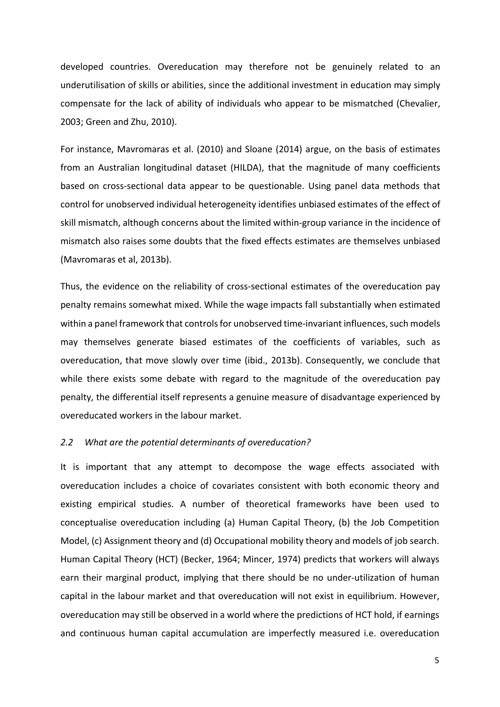developed countries. Overeducation may therefore not be genuinely related to an underutilisation of skills or abilities, since the additional investment in education may simply compensate for the lack of ability of individuals who appear to be mismatched (Chevalier, 2003; Green and Zhu, 2010).

For instance, Mavromaras et al. (2010) and Sloane (2014) argue, on the basis of estimates from an Australian longitudinal dataset (HILDA), that the magnitude of many coefficients based on cross‐sectional data appear to be questionable. Using panel data methods that control for unobserved individual heterogeneity identifies unbiased estimates of the effect of skill mismatch, although concerns about the limited within‐group variance in the incidence of mismatch also raises some doubts that the fixed effects estimates are themselves unbiased (Mavromaras et al, 2013b).

Thus, the evidence on the reliability of cross‐sectional estimates of the overeducation pay penalty remains somewhat mixed. While the wage impacts fall substantially when estimated within a panel framework that controls for unobserved time-invariant influences, such models may themselves generate biased estimates of the coefficients of variables, such as overeducation, that move slowly over time (ibid., 2013b). Consequently, we conclude that while there exists some debate with regard to the magnitude of the overeducation pay penalty, the differential itself represents a genuine measure of disadvantage experienced by overeducated workers in the labour market.

#### *2.2 What are the potential determinants of overeducation?*

It is important that any attempt to decompose the wage effects associated with overeducation includes a choice of covariates consistent with both economic theory and existing empirical studies. A number of theoretical frameworks have been used to conceptualise overeducation including (a) Human Capital Theory, (b) the Job Competition Model, (c) Assignment theory and (d) Occupational mobility theory and models of job search. Human Capital Theory (HCT) (Becker, 1964; Mincer, 1974) predicts that workers will always earn their marginal product, implying that there should be no under-utilization of human capital in the labour market and that overeducation will not exist in equilibrium. However, overeducation may still be observed in a world where the predictions of HCT hold, if earnings and continuous human capital accumulation are imperfectly measured i.e. overeducation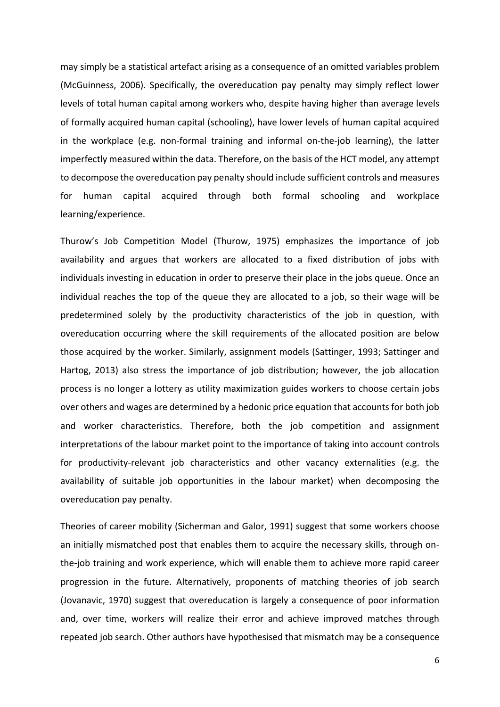may simply be a statistical artefact arising as a consequence of an omitted variables problem (McGuinness, 2006). Specifically, the overeducation pay penalty may simply reflect lower levels of total human capital among workers who, despite having higher than average levels of formally acquired human capital (schooling), have lower levels of human capital acquired in the workplace (e.g. non-formal training and informal on-the-job learning), the latter imperfectly measured within the data. Therefore, on the basis of the HCT model, any attempt to decompose the overeducation pay penalty should include sufficient controls and measures for human capital acquired through both formal schooling and workplace learning/experience.

Thurow's Job Competition Model (Thurow, 1975) emphasizes the importance of job availability and argues that workers are allocated to a fixed distribution of jobs with individuals investing in education in order to preserve their place in the jobs queue. Once an individual reaches the top of the queue they are allocated to a job, so their wage will be predetermined solely by the productivity characteristics of the job in question, with overeducation occurring where the skill requirements of the allocated position are below those acquired by the worker. Similarly, assignment models (Sattinger, 1993; Sattinger and Hartog, 2013) also stress the importance of job distribution; however, the job allocation process is no longer a lottery as utility maximization guides workers to choose certain jobs over others and wages are determined by a hedonic price equation that accounts for both job and worker characteristics. Therefore, both the job competition and assignment interpretations of the labour market point to the importance of taking into account controls for productivity-relevant job characteristics and other vacancy externalities (e.g. the availability of suitable job opportunities in the labour market) when decomposing the overeducation pay penalty.

Theories of career mobility (Sicherman and Galor, 1991) suggest that some workers choose an initially mismatched post that enables them to acquire the necessary skills, through on‐ the‐job training and work experience, which will enable them to achieve more rapid career progression in the future. Alternatively, proponents of matching theories of job search (Jovanavic, 1970) suggest that overeducation is largely a consequence of poor information and, over time, workers will realize their error and achieve improved matches through repeated job search. Other authors have hypothesised that mismatch may be a consequence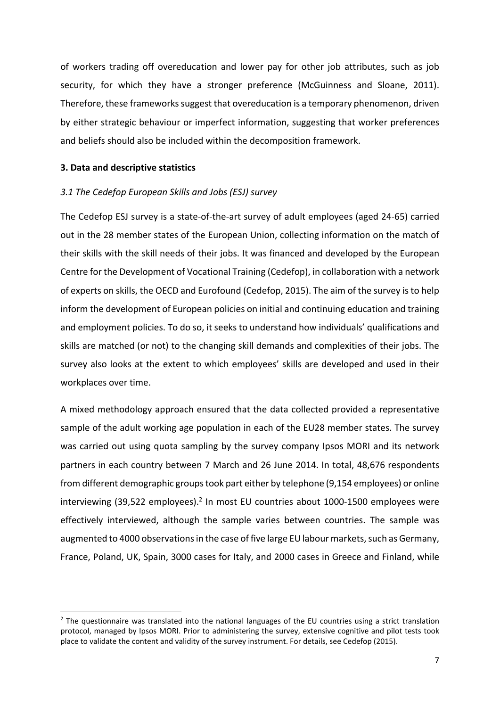of workers trading off overeducation and lower pay for other job attributes, such as job security, for which they have a stronger preference (McGuinness and Sloane, 2011). Therefore, these frameworks suggest that overeducation is a temporary phenomenon, driven by either strategic behaviour or imperfect information, suggesting that worker preferences and beliefs should also be included within the decomposition framework.

#### **3. Data and descriptive statistics**

#### *3.1 The Cedefop European Skills and Jobs (ESJ) survey*

The Cedefop ESJ survey is a state‐of‐the‐art survey of adult employees (aged 24‐65) carried out in the 28 member states of the European Union, collecting information on the match of their skills with the skill needs of their jobs. It was financed and developed by the European Centre for the Development of Vocational Training (Cedefop), in collaboration with a network of experts on skills, the OECD and Eurofound (Cedefop, 2015). The aim of the survey isto help inform the development of European policies on initial and continuing education and training and employment policies. To do so, it seeks to understand how individuals' qualifications and skills are matched (or not) to the changing skill demands and complexities of their jobs. The survey also looks at the extent to which employees' skills are developed and used in their workplaces over time.

A mixed methodology approach ensured that the data collected provided a representative sample of the adult working age population in each of the EU28 member states. The survey was carried out using quota sampling by the survey company Ipsos MORI and its network partners in each country between 7 March and 26 June 2014. In total, 48,676 respondents from different demographic groups took part either by telephone (9,154 employees) or online interviewing (39,522 employees).<sup>2</sup> In most EU countries about 1000-1500 employees were effectively interviewed, although the sample varies between countries. The sample was augmented to 4000 observations in the case of five large EU labour markets, such as Germany, France, Poland, UK, Spain, 3000 cases for Italy, and 2000 cases in Greece and Finland, while

<sup>&</sup>lt;sup>2</sup> The questionnaire was translated into the national languages of the EU countries using a strict translation protocol, managed by Ipsos MORI. Prior to administering the survey, extensive cognitive and pilot tests took place to validate the content and validity of the survey instrument. For details, see Cedefop (2015).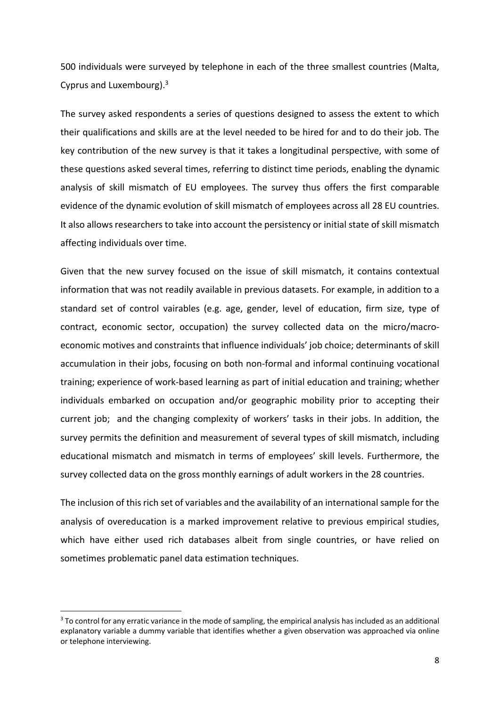500 individuals were surveyed by telephone in each of the three smallest countries (Malta, Cyprus and Luxembourg).<sup>3</sup>

The survey asked respondents a series of questions designed to assess the extent to which their qualifications and skills are at the level needed to be hired for and to do their job. The key contribution of the new survey is that it takes a longitudinal perspective, with some of these questions asked several times, referring to distinct time periods, enabling the dynamic analysis of skill mismatch of EU employees. The survey thus offers the first comparable evidence of the dynamic evolution of skill mismatch of employees across all 28 EU countries. It also allows researchers to take into account the persistency or initial state of skill mismatch affecting individuals over time.

Given that the new survey focused on the issue of skill mismatch, it contains contextual information that was not readily available in previous datasets. For example, in addition to a standard set of control vairables (e.g. age, gender, level of education, firm size, type of contract, economic sector, occupation) the survey collected data on the micro/macro‐ economic motives and constraints that influence individuals' job choice; determinants of skill accumulation in their jobs, focusing on both non‐formal and informal continuing vocational training; experience of work‐based learning as part of initial education and training; whether individuals embarked on occupation and/or geographic mobility prior to accepting their current job; and the changing complexity of workers' tasks in their jobs. In addition, the survey permits the definition and measurement of several types of skill mismatch, including educational mismatch and mismatch in terms of employees' skill levels. Furthermore, the survey collected data on the gross monthly earnings of adult workers in the 28 countries.

The inclusion of this rich set of variables and the availability of an international sample for the analysis of overeducation is a marked improvement relative to previous empirical studies, which have either used rich databases albeit from single countries, or have relied on sometimes problematic panel data estimation techniques.

<sup>&</sup>lt;sup>3</sup> To control for any erratic variance in the mode of sampling, the empirical analysis has included as an additional explanatory variable a dummy variable that identifies whether a given observation was approached via online or telephone interviewing.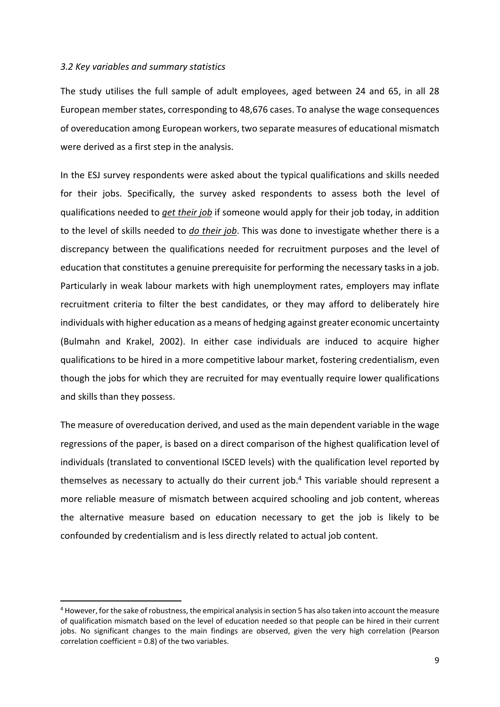#### *3.2 Key variables and summary statistics*

The study utilises the full sample of adult employees, aged between 24 and 65, in all 28 European member states, corresponding to 48,676 cases. To analyse the wage consequences of overeducation among European workers, two separate measures of educational mismatch were derived as a first step in the analysis.

In the ESJ survey respondents were asked about the typical qualifications and skills needed for their jobs. Specifically, the survey asked respondents to assess both the level of qualifications needed to *get their job* if someone would apply for their job today, in addition to the level of skills needed to *do their job*. This was done to investigate whether there is a discrepancy between the qualifications needed for recruitment purposes and the level of education that constitutes a genuine prerequisite for performing the necessary tasks in a job. Particularly in weak labour markets with high unemployment rates, employers may inflate recruitment criteria to filter the best candidates, or they may afford to deliberately hire individuals with higher education as a means of hedging against greater economic uncertainty (Bulmahn and Krakel, 2002). In either case individuals are induced to acquire higher qualifications to be hired in a more competitive labour market, fostering credentialism, even though the jobs for which they are recruited for may eventually require lower qualifications and skills than they possess.

The measure of overeducation derived, and used as the main dependent variable in the wage regressions of the paper, is based on a direct comparison of the highest qualification level of individuals (translated to conventional ISCED levels) with the qualification level reported by themselves as necessary to actually do their current job.4 This variable should represent a more reliable measure of mismatch between acquired schooling and job content, whereas the alternative measure based on education necessary to get the job is likely to be confounded by credentialism and is less directly related to actual job content.

<sup>4</sup> However, for the sake of robustness, the empirical analysisin section 5 has also taken into account the measure of qualification mismatch based on the level of education needed so that people can be hired in their current jobs. No significant changes to the main findings are observed, given the very high correlation (Pearson correlation coefficient = 0.8) of the two variables.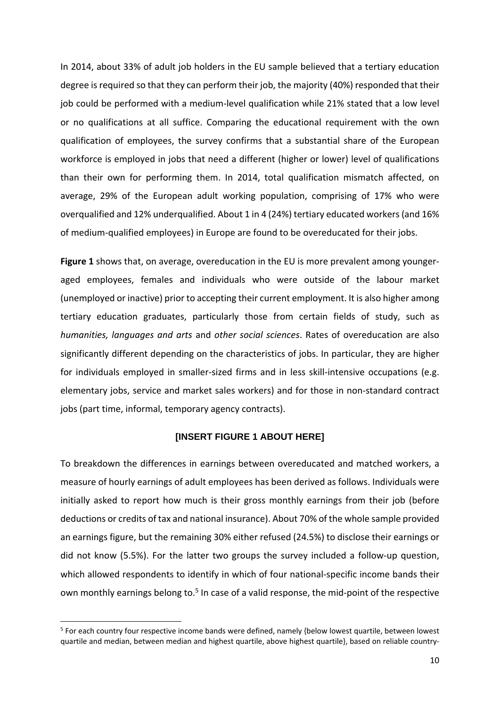In 2014, about 33% of adult job holders in the EU sample believed that a tertiary education degree is required so that they can perform their job, the majority (40%) responded that their job could be performed with a medium-level qualification while 21% stated that a low level or no qualifications at all suffice. Comparing the educational requirement with the own qualification of employees, the survey confirms that a substantial share of the European workforce is employed in jobs that need a different (higher or lower) level of qualifications than their own for performing them. In 2014, total qualification mismatch affected, on average, 29% of the European adult working population, comprising of 17% who were overqualified and 12% underqualified. About 1 in 4 (24%) tertiary educated workers(and 16% of medium‐qualified employees) in Europe are found to be overeducated for their jobs.

**Figure 1** shows that, on average, overeducation in the EU is more prevalent among younger‐ aged employees, females and individuals who were outside of the labour market (unemployed or inactive) prior to accepting their current employment. It is also higher among tertiary education graduates, particularly those from certain fields of study, such as *humanities, languages and arts* and *other social sciences*. Rates of overeducation are also significantly different depending on the characteristics of jobs. In particular, they are higher for individuals employed in smaller-sized firms and in less skill-intensive occupations (e.g. elementary jobs, service and market sales workers) and for those in non‐standard contract jobs (part time, informal, temporary agency contracts).

#### **[INSERT FIGURE 1 ABOUT HERE]**

To breakdown the differences in earnings between overeducated and matched workers, a measure of hourly earnings of adult employees has been derived as follows. Individuals were initially asked to report how much is their gross monthly earnings from their job (before deductions or credits of tax and national insurance). About 70% of the whole sample provided an earnings figure, but the remaining 30% either refused (24.5%) to disclose their earnings or did not know (5.5%). For the latter two groups the survey included a follow‐up question, which allowed respondents to identify in which of four national-specific income bands their own monthly earnings belong to.<sup>5</sup> In case of a valid response, the mid-point of the respective

<sup>5</sup> For each country four respective income bands were defined, namely {below lowest quartile, between lowest quartile and median, between median and highest quartile, above highest quartile}, based on reliable country‐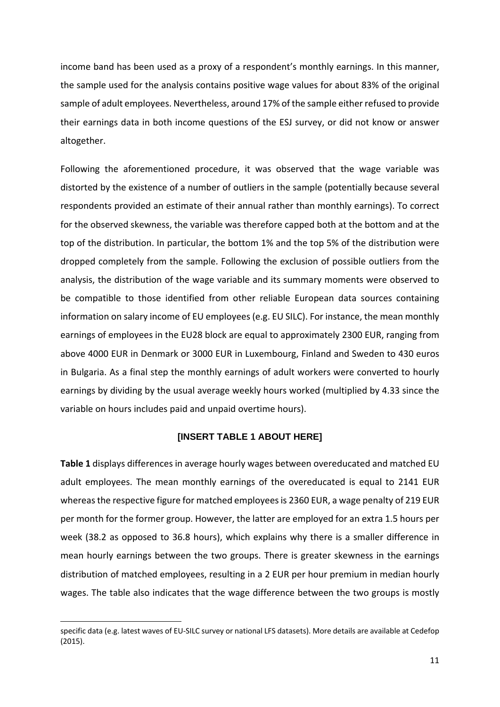income band has been used as a proxy of a respondent's monthly earnings. In this manner, the sample used for the analysis contains positive wage values for about 83% of the original sample of adult employees. Nevertheless, around 17% of the sample either refused to provide their earnings data in both income questions of the ESJ survey, or did not know or answer altogether.

Following the aforementioned procedure, it was observed that the wage variable was distorted by the existence of a number of outliers in the sample (potentially because several respondents provided an estimate of their annual rather than monthly earnings). To correct for the observed skewness, the variable was therefore capped both at the bottom and at the top of the distribution. In particular, the bottom 1% and the top 5% of the distribution were dropped completely from the sample. Following the exclusion of possible outliers from the analysis, the distribution of the wage variable and its summary moments were observed to be compatible to those identified from other reliable European data sources containing information on salary income of EU employees(e.g. EU SILC). For instance, the mean monthly earnings of employees in the EU28 block are equal to approximately 2300 EUR, ranging from above 4000 EUR in Denmark or 3000 EUR in Luxembourg, Finland and Sweden to 430 euros in Bulgaria. As a final step the monthly earnings of adult workers were converted to hourly earnings by dividing by the usual average weekly hours worked (multiplied by 4.33 since the variable on hours includes paid and unpaid overtime hours).

#### **[INSERT TABLE 1 ABOUT HERE]**

**Table 1** displays differences in average hourly wages between overeducated and matched EU adult employees. The mean monthly earnings of the overeducated is equal to 2141 EUR whereas the respective figure for matched employees is 2360 EUR, a wage penalty of 219 EUR per month for the former group. However, the latter are employed for an extra 1.5 hours per week (38.2 as opposed to 36.8 hours), which explains why there is a smaller difference in mean hourly earnings between the two groups. There is greater skewness in the earnings distribution of matched employees, resulting in a 2 EUR per hour premium in median hourly wages. The table also indicates that the wage difference between the two groups is mostly

specific data (e.g. latest waves of EU-SILC survey or national LFS datasets). More details are available at Cedefop (2015).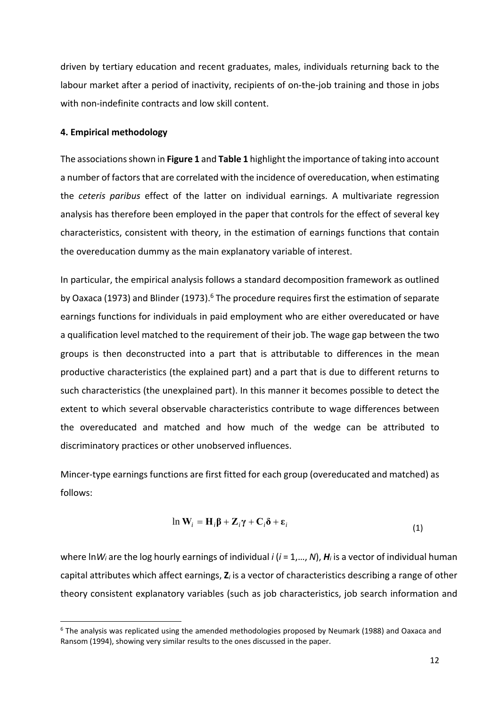driven by tertiary education and recent graduates, males, individuals returning back to the labour market after a period of inactivity, recipients of on-the-job training and those in jobs with non-indefinite contracts and low skill content.

#### **4. Empirical methodology**

The associationsshown in **Figure 1** and **Table 1** highlight the importance of taking into account a number of factors that are correlated with the incidence of overeducation, when estimating the *ceteris paribus* effect of the latter on individual earnings. A multivariate regression analysis has therefore been employed in the paper that controls for the effect of several key characteristics, consistent with theory, in the estimation of earnings functions that contain the overeducation dummy as the main explanatory variable of interest.

In particular, the empirical analysis follows a standard decomposition framework as outlined by Oaxaca (1973) and Blinder (1973).<sup>6</sup> The procedure requires first the estimation of separate earnings functions for individuals in paid employment who are either overeducated or have a qualification level matched to the requirement of their job. The wage gap between the two groups is then deconstructed into a part that is attributable to differences in the mean productive characteristics (the explained part) and a part that is due to different returns to such characteristics (the unexplained part). In this manner it becomes possible to detect the extent to which several observable characteristics contribute to wage differences between the overeducated and matched and how much of the wedge can be attributed to discriminatory practices or other unobserved influences.

Mincer‐type earnings functions are first fitted for each group (overeducated and matched) as follows:

$$
\ln \mathbf{W}_i = \mathbf{H}_i \mathbf{\beta} + \mathbf{Z}_i \mathbf{\gamma} + \mathbf{C}_i \mathbf{\delta} + \mathbf{\epsilon}_i
$$
\n(1)

where ln*Wi* are the log hourly earnings of individual *i* (*i* = 1,…, *N*), *H<sup>i</sup>* is a vector of individual human capital attributes which affect earnings, **Z***<sup>i</sup>* is a vector of characteristics describing a range of other theory consistent explanatory variables (such as job characteristics, job search information and

<sup>6</sup> The analysis was replicated using the amended methodologies proposed by Neumark (1988) and Oaxaca and Ransom (1994), showing very similar results to the ones discussed in the paper.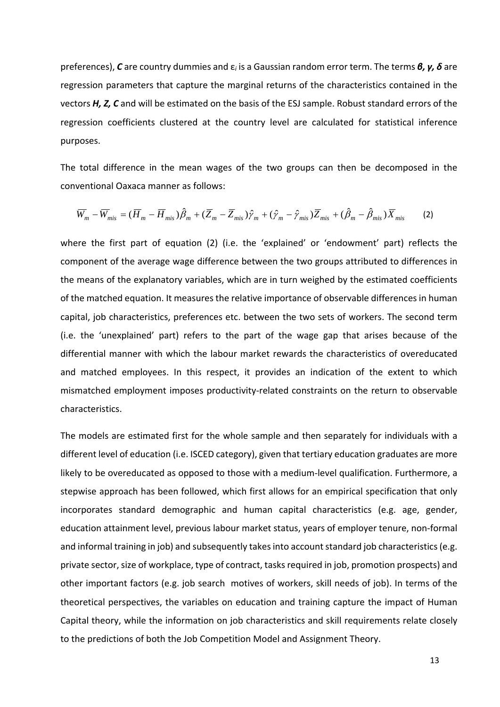preferences), *C* are country dummies and ε*<sup>i</sup>* is a Gaussian random error term. The terms *β, γ, δ* are regression parameters that capture the marginal returns of the characteristics contained in the vectors *H, Z, C* and will be estimated on the basis of the ESJ sample. Robust standard errors of the regression coefficients clustered at the country level are calculated for statistical inference purposes.

The total difference in the mean wages of the two groups can then be decomposed in the conventional Oaxaca manner as follows:

$$
\overline{W}_m - \overline{W}_{mis} = (\overline{H}_m - \overline{H}_{mis})\hat{\beta}_m + (\overline{Z}_m - \overline{Z}_{mis})\hat{\gamma}_m + (\hat{\gamma}_m - \hat{\gamma}_{mis})\overline{Z}_{mis} + (\hat{\beta}_m - \hat{\beta}_{mis})\overline{X}_{mis}
$$
 (2)

where the first part of equation (2) (i.e. the 'explained' or 'endowment' part) reflects the component of the average wage difference between the two groups attributed to differences in the means of the explanatory variables, which are in turn weighed by the estimated coefficients of the matched equation. It measures the relative importance of observable differences in human capital, job characteristics, preferences etc. between the two sets of workers. The second term (i.e. the 'unexplained' part) refers to the part of the wage gap that arises because of the differential manner with which the labour market rewards the characteristics of overeducated and matched employees. In this respect, it provides an indication of the extent to which mismatched employment imposes productivity‐related constraints on the return to observable characteristics.

The models are estimated first for the whole sample and then separately for individuals with a different level of education (i.e. ISCED category), given that tertiary education graduates are more likely to be overeducated as opposed to those with a medium‐level qualification. Furthermore, a stepwise approach has been followed, which first allows for an empirical specification that only incorporates standard demographic and human capital characteristics (e.g. age, gender, education attainment level, previous labour market status, years of employer tenure, non‐formal and informal training in job) and subsequently takes into account standard job characteristics (e.g. private sector, size of workplace, type of contract, tasks required in job, promotion prospects) and other important factors (e.g. job search motives of workers, skill needs of job). In terms of the theoretical perspectives, the variables on education and training capture the impact of Human Capital theory, while the information on job characteristics and skill requirements relate closely to the predictions of both the Job Competition Model and Assignment Theory.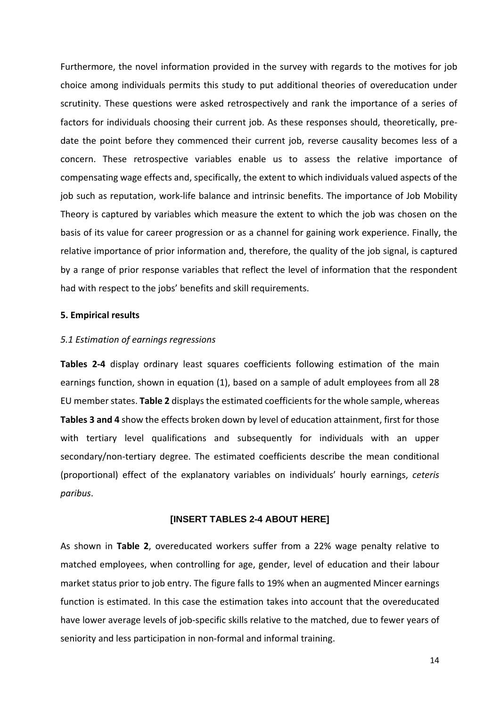Furthermore, the novel information provided in the survey with regards to the motives for job choice among individuals permits this study to put additional theories of overeducation under scrutinity. These questions were asked retrospectively and rank the importance of a series of factors for individuals choosing their current job. As these responses should, theoretically, predate the point before they commenced their current job, reverse causality becomes less of a concern. These retrospective variables enable us to assess the relative importance of compensating wage effects and, specifically, the extent to which individuals valued aspects of the job such as reputation, work‐life balance and intrinsic benefits. The importance of Job Mobility Theory is captured by variables which measure the extent to which the job was chosen on the basis of its value for career progression or as a channel for gaining work experience. Finally, the relative importance of prior information and, therefore, the quality of the job signal, is captured by a range of prior response variables that reflect the level of information that the respondent had with respect to the jobs' benefits and skill requirements.

#### **5. Empirical results**

#### *5.1 Estimation of earnings regressions*

**Tables 2‐4** display ordinary least squares coefficients following estimation of the main earnings function, shown in equation (1), based on a sample of adult employees from all 28 EU member states. Table 2 displays the estimated coefficients for the whole sample, whereas **Tables 3 and 4** show the effects broken down by level of education attainment, first for those with tertiary level qualifications and subsequently for individuals with an upper secondary/non-tertiary degree. The estimated coefficients describe the mean conditional (proportional) effect of the explanatory variables on individuals' hourly earnings, *ceteris paribus*.

#### **[INSERT TABLES 2-4 ABOUT HERE]**

As shown in **Table 2**, overeducated workers suffer from a 22% wage penalty relative to matched employees, when controlling for age, gender, level of education and their labour market status prior to job entry. The figure falls to 19% when an augmented Mincer earnings function is estimated. In this case the estimation takes into account that the overeducated have lower average levels of job-specific skills relative to the matched, due to fewer years of seniority and less participation in non-formal and informal training.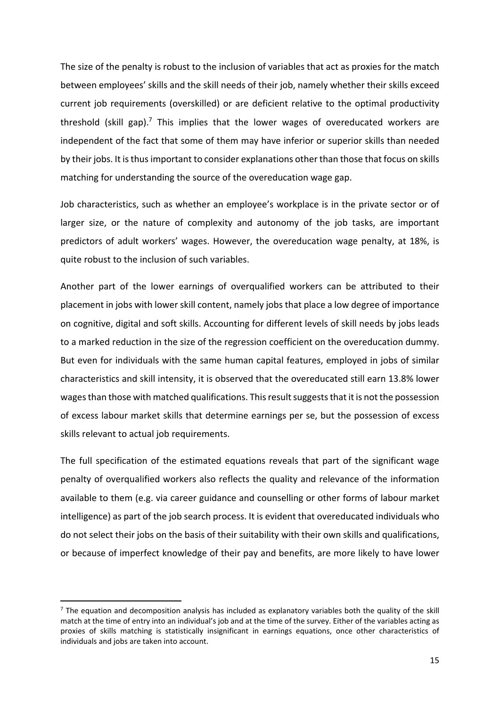The size of the penalty is robust to the inclusion of variables that act as proxies for the match between employees' skills and the skill needs of their job, namely whether their skills exceed current job requirements (overskilled) or are deficient relative to the optimal productivity threshold (skill gap).<sup>7</sup> This implies that the lower wages of overeducated workers are independent of the fact that some of them may have inferior or superior skills than needed by their jobs. It is thus important to consider explanations other than those that focus on skills matching for understanding the source of the overeducation wage gap.

Job characteristics, such as whether an employee's workplace is in the private sector or of larger size, or the nature of complexity and autonomy of the job tasks, are important predictors of adult workers' wages. However, the overeducation wage penalty, at 18%, is quite robust to the inclusion of such variables.

Another part of the lower earnings of overqualified workers can be attributed to their placement in jobs with lower skill content, namely jobs that place a low degree of importance on cognitive, digital and soft skills. Accounting for different levels of skill needs by jobs leads to a marked reduction in the size of the regression coefficient on the overeducation dummy. But even for individuals with the same human capital features, employed in jobs of similar characteristics and skill intensity, it is observed that the overeducated still earn 13.8% lower wages than those with matched qualifications. This result suggests that it is not the possession of excess labour market skills that determine earnings per se, but the possession of excess skills relevant to actual job requirements.

The full specification of the estimated equations reveals that part of the significant wage penalty of overqualified workers also reflects the quality and relevance of the information available to them (e.g. via career guidance and counselling or other forms of labour market intelligence) as part of the job search process. It is evident that overeducated individuals who do not select their jobs on the basis of their suitability with their own skills and qualifications, or because of imperfect knowledge of their pay and benefits, are more likely to have lower

 $<sup>7</sup>$  The equation and decomposition analysis has included as explanatory variables both the quality of the skill</sup> match at the time of entry into an individual's job and at the time of the survey. Either of the variables acting as proxies of skills matching is statistically insignificant in earnings equations, once other characteristics of individuals and jobs are taken into account.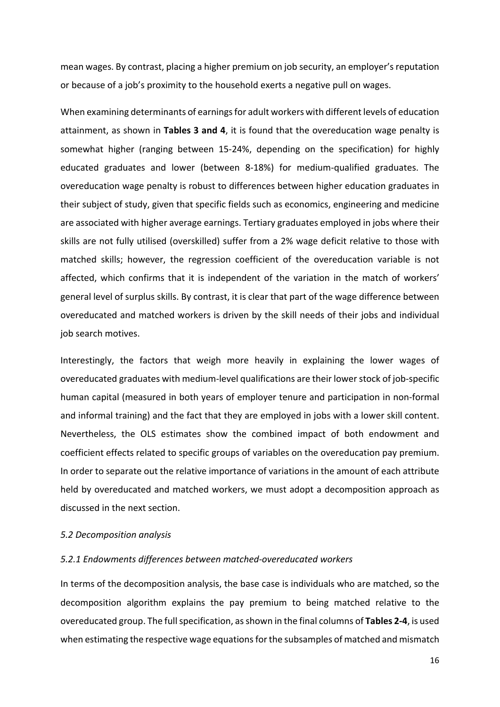mean wages. By contrast, placing a higher premium on job security, an employer's reputation or because of a job's proximity to the household exerts a negative pull on wages.

When examining determinants of earningsfor adult workers with different levels of education attainment, as shown in **Tables 3 and 4**, it is found that the overeducation wage penalty is somewhat higher (ranging between 15‐24%, depending on the specification) for highly educated graduates and lower (between 8‐18%) for medium‐qualified graduates. The overeducation wage penalty is robust to differences between higher education graduates in their subject of study, given that specific fields such as economics, engineering and medicine are associated with higher average earnings. Tertiary graduates employed in jobs where their skills are not fully utilised (overskilled) suffer from a 2% wage deficit relative to those with matched skills; however, the regression coefficient of the overeducation variable is not affected, which confirms that it is independent of the variation in the match of workers' general level of surplus skills. By contrast, it is clear that part of the wage difference between overeducated and matched workers is driven by the skill needs of their jobs and individual job search motives.

Interestingly, the factors that weigh more heavily in explaining the lower wages of overeducated graduates with medium‐level qualifications are their lowerstock of job‐specific human capital (measured in both years of employer tenure and participation in non‐formal and informal training) and the fact that they are employed in jobs with a lower skill content. Nevertheless, the OLS estimates show the combined impact of both endowment and coefficient effects related to specific groups of variables on the overeducation pay premium. In order to separate out the relative importance of variations in the amount of each attribute held by overeducated and matched workers, we must adopt a decomposition approach as discussed in the next section.

#### *5.2 Decomposition analysis*

#### *5.2.1 Endowments differences between matched‐overeducated workers*

In terms of the decomposition analysis, the base case is individuals who are matched, so the decomposition algorithm explains the pay premium to being matched relative to the overeducated group. The fullspecification, asshown in the final columns of **Tables 2‐4**, is used when estimating the respective wage equations for the subsamples of matched and mismatch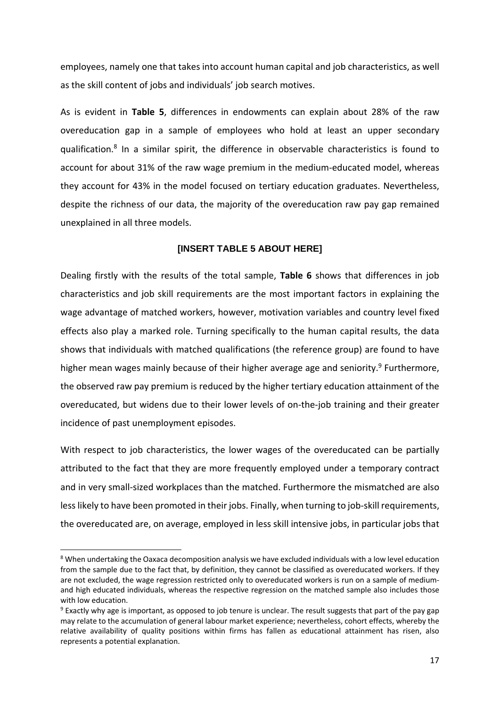employees, namely one that takes into account human capital and job characteristics, as well as the skill content of jobs and individuals' job search motives.

As is evident in **Table 5**, differences in endowments can explain about 28% of the raw overeducation gap in a sample of employees who hold at least an upper secondary qualification.8 In a similar spirit, the difference in observable characteristics is found to account for about 31% of the raw wage premium in the medium‐educated model, whereas they account for 43% in the model focused on tertiary education graduates. Nevertheless, despite the richness of our data, the majority of the overeducation raw pay gap remained unexplained in all three models.

#### **[INSERT TABLE 5 ABOUT HERE]**

Dealing firstly with the results of the total sample, **Table 6** shows that differences in job characteristics and job skill requirements are the most important factors in explaining the wage advantage of matched workers, however, motivation variables and country level fixed effects also play a marked role. Turning specifically to the human capital results, the data shows that individuals with matched qualifications (the reference group) are found to have higher mean wages mainly because of their higher average age and seniority.<sup>9</sup> Furthermore, the observed raw pay premium is reduced by the higher tertiary education attainment of the overeducated, but widens due to their lower levels of on‐the‐job training and their greater incidence of past unemployment episodes.

With respect to job characteristics, the lower wages of the overeducated can be partially attributed to the fact that they are more frequently employed under a temporary contract and in very small‐sized workplaces than the matched. Furthermore the mismatched are also less likely to have been promoted in their jobs. Finally, when turning to job-skill requirements, the overeducated are, on average, employed in less skill intensive jobs, in particular jobs that

<sup>&</sup>lt;sup>8</sup> When undertaking the Oaxaca decomposition analysis we have excluded individuals with a low level education from the sample due to the fact that, by definition, they cannot be classified as overeducated workers. If they are not excluded, the wage regression restricted only to overeducated workers is run on a sample of mediumand high educated individuals, whereas the respective regression on the matched sample also includes those with low education.

<sup>&</sup>lt;sup>9</sup> Exactly why age is important, as opposed to job tenure is unclear. The result suggests that part of the pay gap may relate to the accumulation of general labour market experience; nevertheless, cohort effects, whereby the relative availability of quality positions within firms has fallen as educational attainment has risen, also represents a potential explanation.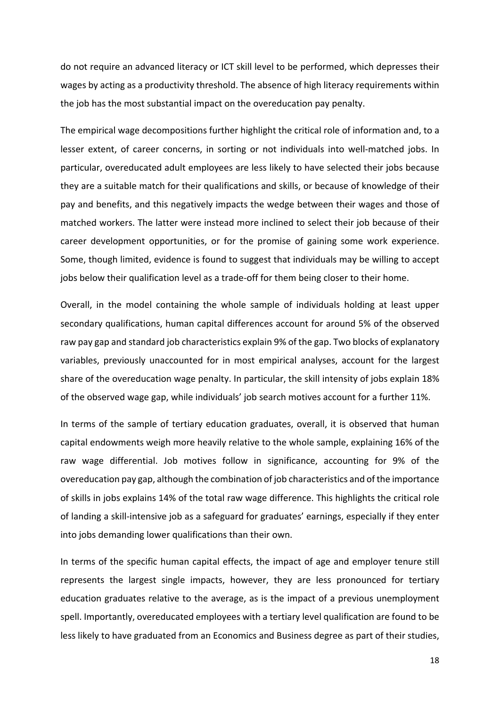do not require an advanced literacy or ICT skill level to be performed, which depresses their wages by acting as a productivity threshold. The absence of high literacy requirements within the job has the most substantial impact on the overeducation pay penalty.

The empirical wage decompositions further highlight the critical role of information and, to a lesser extent, of career concerns, in sorting or not individuals into well-matched jobs. In particular, overeducated adult employees are less likely to have selected their jobs because they are a suitable match for their qualifications and skills, or because of knowledge of their pay and benefits, and this negatively impacts the wedge between their wages and those of matched workers. The latter were instead more inclined to select their job because of their career development opportunities, or for the promise of gaining some work experience. Some, though limited, evidence is found to suggest that individuals may be willing to accept jobs below their qualification level as a trade-off for them being closer to their home.

Overall, in the model containing the whole sample of individuals holding at least upper secondary qualifications, human capital differences account for around 5% of the observed raw pay gap and standard job characteristics explain 9% of the gap. Two blocks of explanatory variables, previously unaccounted for in most empirical analyses, account for the largest share of the overeducation wage penalty. In particular, the skill intensity of jobs explain 18% of the observed wage gap, while individuals' job search motives account for a further 11%.

In terms of the sample of tertiary education graduates, overall, it is observed that human capital endowments weigh more heavily relative to the whole sample, explaining 16% of the raw wage differential. Job motives follow in significance, accounting for 9% of the overeducation pay gap, although the combination of job characteristics and of the importance of skills in jobs explains 14% of the total raw wage difference. This highlights the critical role of landing a skill‐intensive job as a safeguard for graduates' earnings, especially if they enter into jobs demanding lower qualifications than their own.

In terms of the specific human capital effects, the impact of age and employer tenure still represents the largest single impacts, however, they are less pronounced for tertiary education graduates relative to the average, as is the impact of a previous unemployment spell. Importantly, overeducated employees with a tertiary level qualification are found to be less likely to have graduated from an Economics and Business degree as part of their studies,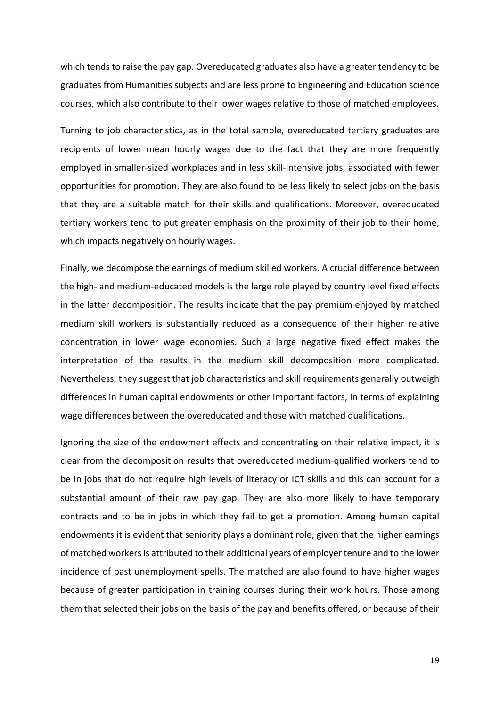which tends to raise the pay gap. Overeducated graduates also have a greater tendency to be graduates from Humanities subjects and are less prone to Engineering and Education science courses, which also contribute to their lower wages relative to those of matched employees.

Turning to job characteristics, as in the total sample, overeducated tertiary graduates are recipients of lower mean hourly wages due to the fact that they are more frequently employed in smaller‐sized workplaces and in less skill‐intensive jobs, associated with fewer opportunities for promotion. They are also found to be less likely to select jobs on the basis that they are a suitable match for their skills and qualifications. Moreover, overeducated tertiary workers tend to put greater emphasis on the proximity of their job to their home, which impacts negatively on hourly wages.

Finally, we decompose the earnings of medium skilled workers. A crucial difference between the high- and medium-educated models is the large role played by country level fixed effects in the latter decomposition. The results indicate that the pay premium enjoyed by matched medium skill workers is substantially reduced as a consequence of their higher relative concentration in lower wage economies. Such a large negative fixed effect makes the interpretation of the results in the medium skill decomposition more complicated. Nevertheless, they suggest that job characteristics and skill requirements generally outweigh differences in human capital endowments or other important factors, in terms of explaining wage differences between the overeducated and those with matched qualifications.

Ignoring the size of the endowment effects and concentrating on their relative impact, it is clear from the decomposition results that overeducated medium‐qualified workers tend to be in jobs that do not require high levels of literacy or ICT skills and this can account for a substantial amount of their raw pay gap. They are also more likely to have temporary contracts and to be in jobs in which they fail to get a promotion. Among human capital endowments it is evident that seniority plays a dominant role, given that the higher earnings of matched workersis attributed to their additional years of employertenure and to the lower incidence of past unemployment spells. The matched are also found to have higher wages because of greater participation in training courses during their work hours. Those among them that selected their jobs on the basis of the pay and benefits offered, or because of their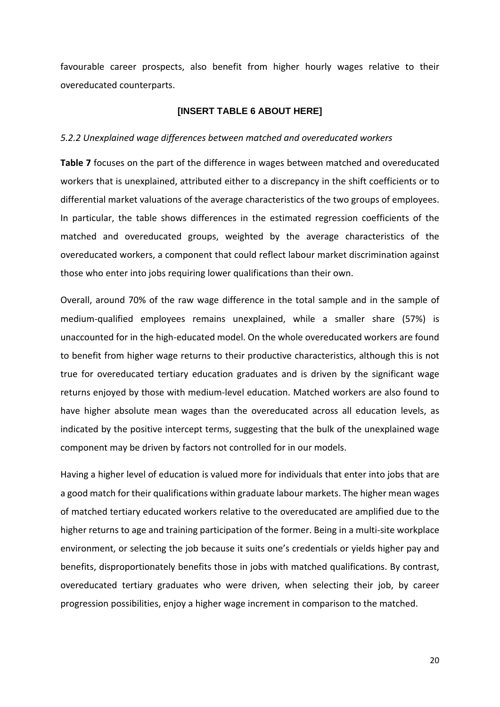favourable career prospects, also benefit from higher hourly wages relative to their overeducated counterparts.

#### **[INSERT TABLE 6 ABOUT HERE]**

#### *5.2.2 Unexplained wage differences between matched and overeducated workers*

**Table 7** focuses on the part of the difference in wages between matched and overeducated workers that is unexplained, attributed either to a discrepancy in the shift coefficients or to differential market valuations of the average characteristics of the two groups of employees. In particular, the table shows differences in the estimated regression coefficients of the matched and overeducated groups, weighted by the average characteristics of the overeducated workers, a component that could reflect labour market discrimination against those who enter into jobs requiring lower qualifications than their own.

Overall, around 70% of the raw wage difference in the total sample and in the sample of medium‐qualified employees remains unexplained, while a smaller share (57%) is unaccounted for in the high‐educated model. On the whole overeducated workers are found to benefit from higher wage returns to their productive characteristics, although this is not true for overeducated tertiary education graduates and is driven by the significant wage returns enjoyed by those with medium‐level education. Matched workers are also found to have higher absolute mean wages than the overeducated across all education levels, as indicated by the positive intercept terms, suggesting that the bulk of the unexplained wage component may be driven by factors not controlled for in our models.

Having a higher level of education is valued more for individuals that enter into jobs that are a good match for their qualifications within graduate labour markets. The higher mean wages of matched tertiary educated workers relative to the overeducated are amplified due to the higher returns to age and training participation of the former. Being in a multi‐site workplace environment, or selecting the job because it suits one's credentials or yields higher pay and benefits, disproportionately benefits those in jobs with matched qualifications. By contrast, overeducated tertiary graduates who were driven, when selecting their job, by career progression possibilities, enjoy a higher wage increment in comparison to the matched.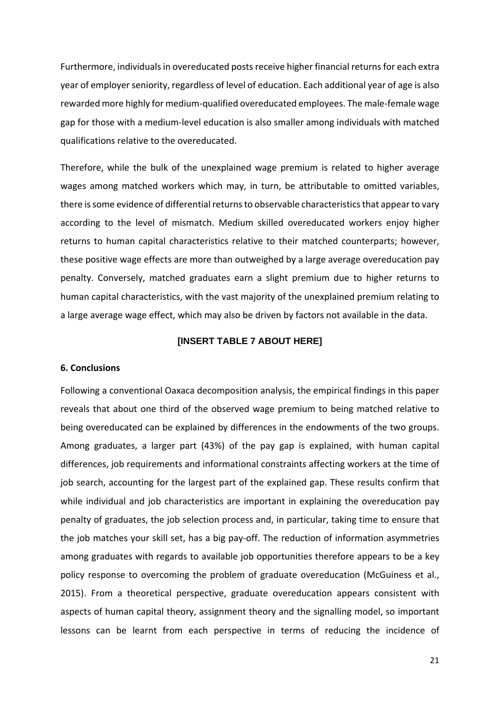Furthermore, individuals in overeducated posts receive higher financial returns for each extra year of employer seniority, regardless of level of education. Each additional year of age is also rewarded more highly for medium‐qualified overeducated employees. The male‐female wage gap for those with a medium‐level education is also smaller among individuals with matched qualifications relative to the overeducated. 

Therefore, while the bulk of the unexplained wage premium is related to higher average wages among matched workers which may, in turn, be attributable to omitted variables, there is some evidence of differential returns to observable characteristics that appear to vary according to the level of mismatch. Medium skilled overeducated workers enjoy higher returns to human capital characteristics relative to their matched counterparts; however, these positive wage effects are more than outweighed by a large average overeducation pay penalty. Conversely, matched graduates earn a slight premium due to higher returns to human capital characteristics, with the vast majority of the unexplained premium relating to a large average wage effect, which may also be driven by factors not available in the data.

#### **[INSERT TABLE 7 ABOUT HERE]**

#### **6. Conclusions**

Following a conventional Oaxaca decomposition analysis, the empirical findings in this paper reveals that about one third of the observed wage premium to being matched relative to being overeducated can be explained by differences in the endowments of the two groups. Among graduates, a larger part (43%) of the pay gap is explained, with human capital differences, job requirements and informational constraints affecting workers at the time of job search, accounting for the largest part of the explained gap. These results confirm that while individual and job characteristics are important in explaining the overeducation pay penalty of graduates, the job selection process and, in particular, taking time to ensure that the job matches your skill set, has a big pay‐off. The reduction of information asymmetries among graduates with regards to available job opportunities therefore appears to be a key policy response to overcoming the problem of graduate overeducation (McGuiness et al., 2015). From a theoretical perspective, graduate overeducation appears consistent with aspects of human capital theory, assignment theory and the signalling model, so important lessons can be learnt from each perspective in terms of reducing the incidence of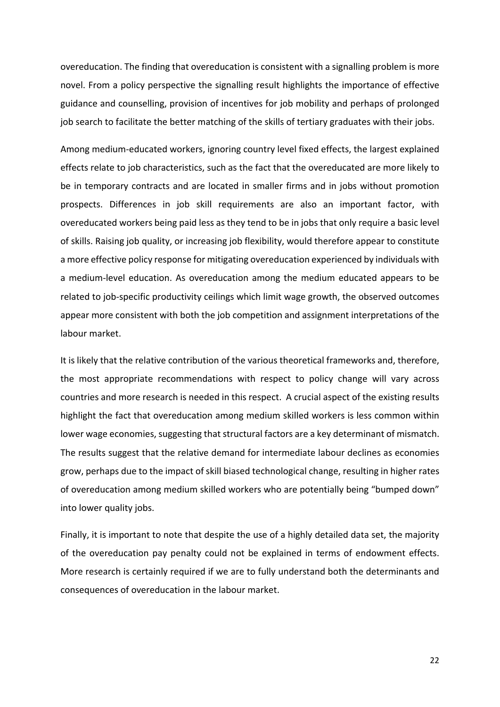overeducation. The finding that overeducation is consistent with a signalling problem is more novel. From a policy perspective the signalling result highlights the importance of effective guidance and counselling, provision of incentives for job mobility and perhaps of prolonged job search to facilitate the better matching of the skills of tertiary graduates with their jobs.

Among medium‐educated workers, ignoring country level fixed effects, the largest explained effects relate to job characteristics, such as the fact that the overeducated are more likely to be in temporary contracts and are located in smaller firms and in jobs without promotion prospects. Differences in job skill requirements are also an important factor, with overeducated workers being paid less as they tend to be in jobs that only require a basic level of skills. Raising job quality, or increasing job flexibility, would therefore appear to constitute a more effective policy response for mitigating overeducation experienced by individuals with a medium‐level education. As overeducation among the medium educated appears to be related to job‐specific productivity ceilings which limit wage growth, the observed outcomes appear more consistent with both the job competition and assignment interpretations of the labour market.

It is likely that the relative contribution of the various theoretical frameworks and, therefore, the most appropriate recommendations with respect to policy change will vary across countries and more research is needed in this respect. A crucial aspect of the existing results highlight the fact that overeducation among medium skilled workers is less common within lower wage economies, suggesting that structural factors are a key determinant of mismatch. The results suggest that the relative demand for intermediate labour declines as economies grow, perhaps due to the impact of skill biased technological change, resulting in higher rates of overeducation among medium skilled workers who are potentially being "bumped down" into lower quality jobs.

Finally, it is important to note that despite the use of a highly detailed data set, the majority of the overeducation pay penalty could not be explained in terms of endowment effects. More research is certainly required if we are to fully understand both the determinants and consequences of overeducation in the labour market.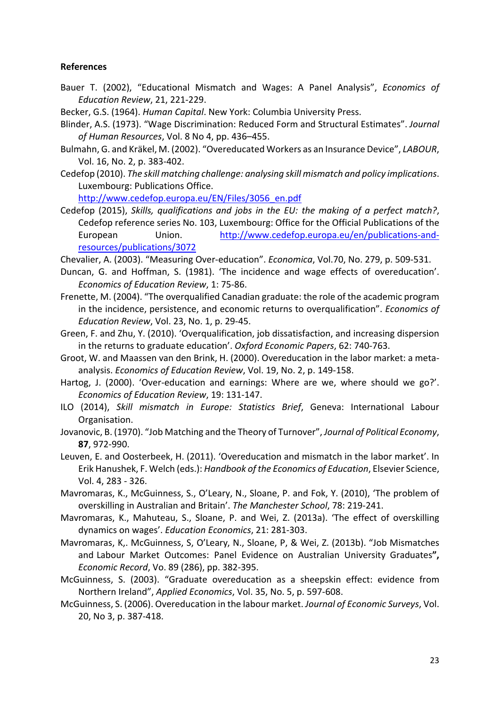#### **References**

- Bauer T. (2002), "Educational Mismatch and Wages: A Panel Analysis", *Economics of Education Review*, 21, 221‐229.
- Becker, G.S. (1964). *Human Capital*. New York: Columbia University Press.
- Blinder, A.S. (1973). "Wage Discrimination: Reduced Form and Structural Estimates". *Journal of Human Resources*, Vol. 8 No 4, pp. 436–455.
- Bulmahn, G. and Kräkel, M. (2002). "Overeducated Workers as an Insurance Device", *LABOUR*, Vol. 16, No. 2, p. 383‐402.
- Cedefop (2010). *The skill matching challenge: analysing skill mismatch and policy implications*. Luxembourg: Publications Office.

http://www.cedefop.europa.eu/EN/Files/3056\_en.pdf

- Cedefop (2015), *Skills, qualifications and jobs in the EU: the making of a perfect match?*, Cedefop reference series No. 103, Luxembourg: Office for the Official Publications of the European Union. http://www.cedefop.europa.eu/en/publications-andresources/publications/3072
- Chevalier, A. (2003). "Measuring Over‐education". *Economica*, Vol.70, No. 279, p. 509‐531.
- Duncan, G. and Hoffman, S. (1981). 'The incidence and wage effects of overeducation'. *Economics of Education Review*, 1: 75‐86.
- Frenette, M. (2004). "The overqualified Canadian graduate: the role of the academic program in the incidence, persistence, and economic returns to overqualification". *Economics of Education Review*, Vol. 23, No. 1, p. 29‐45.
- Green, F. and Zhu, Y. (2010). 'Overqualification, job dissatisfaction, and increasing dispersion in the returns to graduate education'. *Oxford Economic Papers*, 62: 740‐763.
- Groot, W. and Maassen van den Brink, H. (2000). Overeducation in the labor market: a meta‐ analysis. *Economics of Education Review*, Vol. 19, No. 2, p. 149‐158.
- Hartog, J. (2000). 'Over-education and earnings: Where are we, where should we go?'. *Economics of Education Review*, 19: 131‐147.
- ILO (2014), *Skill mismatch in Europe: Statistics Brief*, Geneva: International Labour Organisation.
- Jovanovic, B. (1970). "Job Matching and the Theory of Turnover", *Journal of Political Economy*, **87**, 972‐990.
- Leuven, E. and Oosterbeek, H. (2011). 'Overeducation and mismatch in the labor market'. In Erik Hanushek, F. Welch (eds.): *Handbook of the Economics of Education*, Elsevier Science, Vol. 4, 283 ‐ 326.
- Mavromaras, K., McGuinness, S., O'Leary, N., Sloane, P. and Fok, Y. (2010), 'The problem of overskilling in Australian and Britain'. *The Manchester School*, 78: 219‐241.
- Mavromaras, K., Mahuteau, S., Sloane, P. and Wei, Z. (2013a). 'The effect of overskilling dynamics on wages'. *Education Economics*, 21: 281‐303.
- Mavromaras, K,. McGuinness, S, O'Leary, N., Sloane, P, & Wei, Z. (2013b). "Job Mismatches and Labour Market Outcomes: Panel Evidence on Australian University Graduates**",** *Economic Record*, Vo. 89 (286), pp. 382‐395.
- McGuinness, S. (2003). "Graduate overeducation as a sheepskin effect: evidence from Northern Ireland", *Applied Economics*, Vol. 35, No. 5, p. 597‐608.
- McGuinness, S. (2006). Overeducation in the labour market. *Journal of Economic Surveys*, Vol. 20, No 3, p. 387‐418.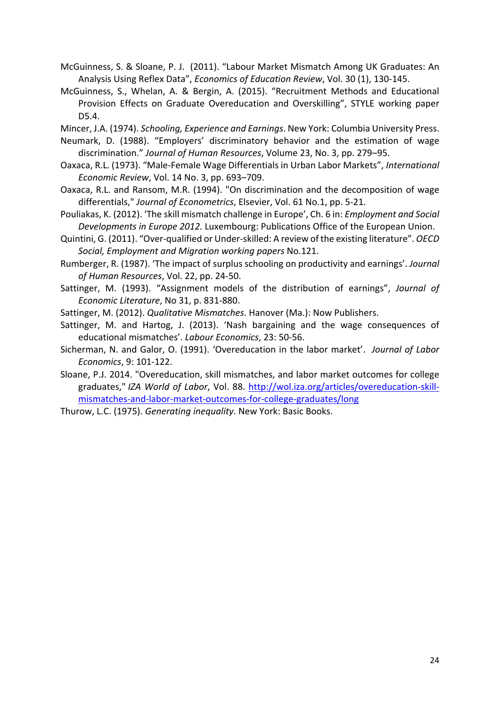- McGuinness, S. & Sloane, P. J. (2011). "Labour Market Mismatch Among UK Graduates: An Analysis Using Reflex Data", *Economics of Education Review*, Vol. 30 (1), 130‐145.
- McGuinness, S., Whelan, A. & Bergin, A. (2015). "Recruitment Methods and Educational Provision Effects on Graduate Overeducation and Overskilling", STYLE working paper D5.4.
- Mincer, J.A. (1974). *Schooling, Experience and Earnings*. New York: Columbia University Press.
- Neumark, D. (1988). "Employers' discriminatory behavior and the estimation of wage discrimination." *Journal of Human Resources*, Volume 23, No. 3, pp. 279–95.
- Oaxaca, R.L. (1973). "Male‐Female Wage Differentials in Urban Labor Markets", *International Economic Review*, Vol. 14 No. 3, pp. 693–709.
- Oaxaca, R.L. and Ransom, M.R. (1994). "On discrimination and the decomposition of wage differentials," *Journal of Econometrics*, Elsevier, Vol. 61 No.1, pp. 5‐21.
- Pouliakas, K. (2012). 'The skill mismatch challenge in Europe', Ch. 6 in: *Employment and Social Developments in Europe 2012.* Luxembourg: Publications Office of the European Union.
- Quintini, G. (2011). "Over‐qualified or Under‐skilled: A review of the existing literature". *OECD Social, Employment and Migration working papers* No.121.
- Rumberger, R. (1987). 'The impact of surplus schooling on productivity and earnings'. *Journal of Human Resources*, Vol. 22, pp. 24‐50.
- Sattinger, M. (1993). "Assignment models of the distribution of earnings", *Journal of Economic Literature*, No 31, p. 831‐880.
- Sattinger, M. (2012). *Qualitative Mismatches*. Hanover (Ma.): Now Publishers.
- Sattinger, M. and Hartog, J. (2013). 'Nash bargaining and the wage consequences of educational mismatches'. *Labour Economics*, 23: 50‐56.
- Sicherman, N. and Galor, O. (1991). 'Overeducation in the labor market'. *Journal of Labor Economics*, 9: 101‐122.
- Sloane, P.J. 2014. "Overeducation, skill mismatches, and labor market outcomes for college graduates," *IZA World of Labor*, Vol. 88. http://wol.iza.org/articles/overeducation‐skill‐ mismatches‐and‐labor‐market‐outcomes‐for‐college‐graduates/long
- Thurow, L.C. (1975). *Generating inequality*. New York: Basic Books.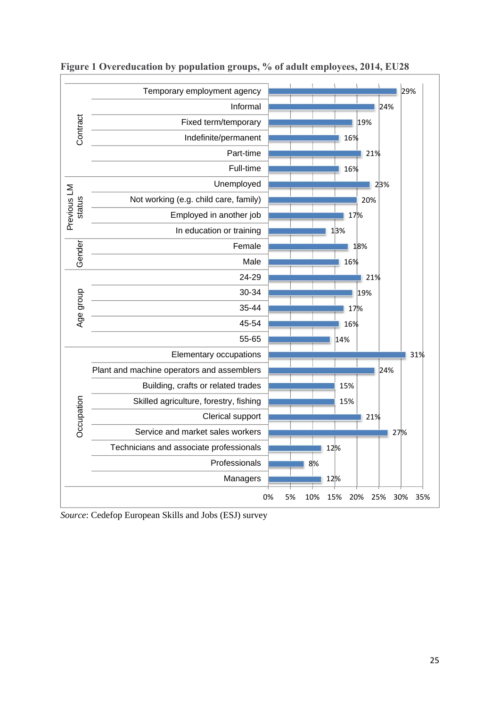

**Figure 1 Overeducation by population groups, % of adult employees, 2014, EU28**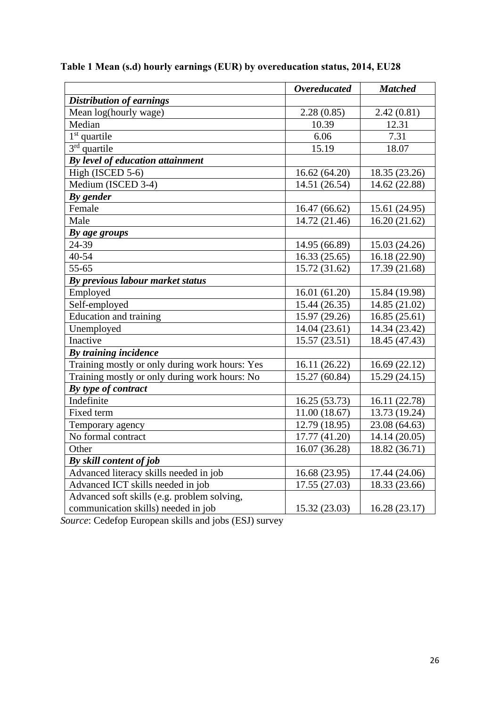|                                                | <b>Overeducated</b> | <b>Matched</b> |
|------------------------------------------------|---------------------|----------------|
| <b>Distribution of earnings</b>                |                     |                |
| Mean log(hourly wage)                          | 2.28(0.85)          | 2.42(0.81)     |
| Median                                         | 10.39               | 12.31          |
| $1st$ quartile                                 | 6.06                | 7.31           |
| $3rd$ quartile                                 | 15.19               | 18.07          |
| By level of education attainment               |                     |                |
| High (ISCED 5-6)                               | 16.62 (64.20)       | 18.35 (23.26)  |
| Medium (ISCED 3-4)                             | 14.51 (26.54)       | 14.62 (22.88)  |
| By gender                                      |                     |                |
| Female                                         | 16.47 (66.62)       | 15.61 (24.95)  |
| Male                                           | 14.72 (21.46)       | 16.20 (21.62)  |
| By age groups                                  |                     |                |
| 24-39                                          | 14.95 (66.89)       | 15.03 (24.26)  |
| 40-54                                          | 16.33(25.65)        | 16.18 (22.90)  |
| $55 - 65$                                      | 15.72 (31.62)       | 17.39 (21.68)  |
| By previous labour market status               |                     |                |
| Employed                                       | 16.01 (61.20)       | 15.84 (19.98)  |
| Self-employed                                  | 15.44 (26.35)       | 14.85 (21.02)  |
| <b>Education</b> and training                  | 15.97 (29.26)       | 16.85(25.61)   |
| Unemployed                                     | 14.04 (23.61)       | 14.34 (23.42)  |
| Inactive                                       | 15.57(23.51)        | 18.45 (47.43)  |
| By training incidence                          |                     |                |
| Training mostly or only during work hours: Yes | 16.11 (26.22)       | 16.69 (22.12)  |
| Training mostly or only during work hours: No  | 15.27 (60.84)       | 15.29 (24.15)  |
| By type of contract                            |                     |                |
| Indefinite                                     | 16.25 (53.73)       | 16.11 (22.78)  |
| Fixed term                                     | 11.00 (18.67)       | 13.73 (19.24)  |
| Temporary agency                               | 12.79 (18.95)       | 23.08 (64.63)  |
| No formal contract                             | 17.77 (41.20)       | 14.14 (20.05)  |
| Other                                          | 16.07 (36.28)       | 18.82 (36.71)  |
| By skill content of job                        |                     |                |
| Advanced literacy skills needed in job         | 16.68 (23.95)       | 17.44 (24.06)  |
| Advanced ICT skills needed in job              | 17.55 (27.03)       | 18.33 (23.66)  |
| Advanced soft skills (e.g. problem solving,    |                     |                |
| communication skills) needed in job            | 15.32 (23.03)       | 16.28(23.17)   |

# **Table 1 Mean (s.d) hourly earnings (EUR) by overeducation status, 2014, EU28**

*Source*: Cedefop European skills and jobs (ESJ) survey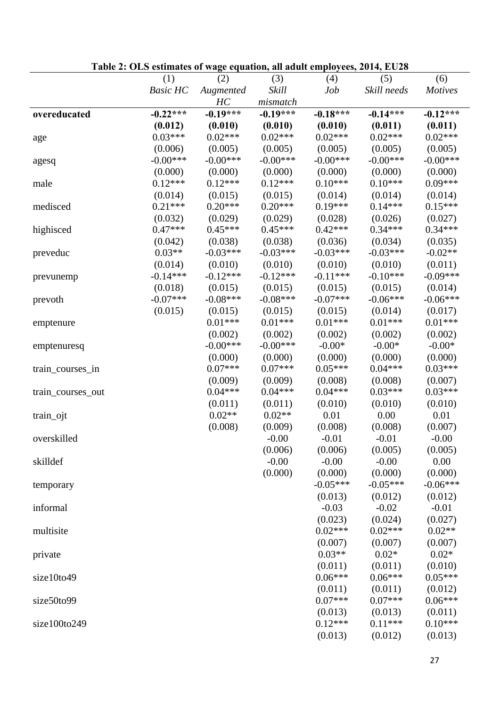|                   | Table 2. OLS estimates of wage equation, an audit employees, 2014, EO20 |            |            |                      |                      |                      |
|-------------------|-------------------------------------------------------------------------|------------|------------|----------------------|----------------------|----------------------|
|                   | (1)                                                                     | (2)        | (3)        | (4)                  | (5)                  | (6)                  |
|                   | <b>Basic HC</b>                                                         | Augmented  | Skill      | Job                  | Skill needs          | <b>Motives</b>       |
|                   |                                                                         | HC         | mismatch   |                      |                      |                      |
| overeducated      | $-0.22***$                                                              | $-0.19***$ | $-0.19***$ | $-0.18***$           | $-0.14***$           | $-0.12***$           |
|                   | (0.012)                                                                 | (0.010)    | (0.010)    | (0.010)              | (0.011)              | (0.011)              |
| age               | $0.03***$                                                               | $0.02***$  | $0.02***$  | $0.02***$            | $0.02***$            | $0.02***$            |
|                   | (0.006)                                                                 | (0.005)    | (0.005)    | (0.005)              | (0.005)              | (0.005)              |
| agesq             | $-0.00***$                                                              | $-0.00***$ | $-0.00***$ | $-0.00***$           | $-0.00***$           | $-0.00***$           |
|                   | (0.000)                                                                 | (0.000)    | (0.000)    | (0.000)              | (0.000)              | (0.000)              |
| male              | $0.12***$                                                               | $0.12***$  | $0.12***$  | $0.10***$            | $0.10***$            | $0.09***$            |
|                   | (0.014)                                                                 | (0.015)    | (0.015)    | (0.014)              | (0.014)              | (0.014)              |
| medisced          | $0.21***$                                                               | $0.20***$  | $0.20***$  | $0.19***$            | $0.14***$            | $0.15***$            |
|                   | (0.032)                                                                 | (0.029)    | (0.029)    | (0.028)              | (0.026)              | (0.027)              |
| highisced         | $0.47***$                                                               | $0.45***$  | $0.45***$  | $0.42***$            | $0.34***$            | $0.34***$            |
|                   | (0.042)                                                                 | (0.038)    | (0.038)    | (0.036)              | (0.034)              | (0.035)              |
| preveduc          | $0.03**$                                                                | $-0.03***$ | $-0.03***$ | $-0.03***$           | $-0.03***$           | $-0.02**$            |
|                   | (0.014)                                                                 | (0.010)    | (0.010)    | (0.010)              | (0.010)              | (0.011)              |
| prevunemp         | $-0.14***$                                                              | $-0.12***$ | $-0.12***$ | $-0.11***$           | $-0.10***$           | $-0.09***$           |
|                   | (0.018)                                                                 | (0.015)    | (0.015)    | (0.015)              | (0.015)              | (0.014)              |
| prevoth           | $-0.07***$                                                              | $-0.08***$ | $-0.08***$ | $-0.07***$           | $-0.06***$           | $-0.06***$           |
|                   | (0.015)                                                                 | (0.015)    | (0.015)    | (0.015)              | (0.014)              | (0.017)              |
| emptenure         |                                                                         | $0.01***$  | $0.01***$  | $0.01***$            | $0.01***$            | $0.01***$            |
|                   |                                                                         | (0.002)    | (0.002)    | (0.002)              | (0.002)              | (0.002)              |
| emptenuresq       |                                                                         | $-0.00***$ | $-0.00***$ | $-0.00*$             | $-0.00*$             | $-0.00*$             |
|                   |                                                                         | (0.000)    | (0.000)    | (0.000)              | (0.000)              | (0.000)              |
| train_courses_in  |                                                                         | $0.07***$  | $0.07***$  | $0.05***$            | $0.04***$            | $0.03***$            |
|                   |                                                                         | (0.009)    | (0.009)    | (0.008)              | (0.008)              | (0.007)              |
| train_courses_out |                                                                         | $0.04***$  | $0.04***$  | $0.04***$            | $0.03***$            | $0.03***$            |
|                   |                                                                         | (0.011)    | (0.011)    | (0.010)              | (0.010)              | (0.010)              |
| train_ojt         |                                                                         | $0.02**$   | $0.02**$   | 0.01                 | 0.00                 | 0.01                 |
|                   |                                                                         | (0.008)    | (0.009)    | (0.008)              | (0.008)              | (0.007)              |
| overskilled       |                                                                         |            | $-0.00$    | $-0.01$              | $-0.01$              | $-0.00$              |
|                   |                                                                         |            | (0.006)    | (0.006)              | (0.005)              | (0.005)              |
| skilldef          |                                                                         |            | $-0.00$    | $-0.00$              | $-0.00$              | 0.00                 |
|                   |                                                                         |            | (0.000)    | (0.000)              | (0.000)              | (0.000)              |
| temporary         |                                                                         |            |            | $-0.05***$           | $-0.05***$           | $-0.06***$           |
|                   |                                                                         |            |            | (0.013)              | (0.012)              | (0.012)              |
| informal          |                                                                         |            |            | $-0.03$              | $-0.02$              | $-0.01$              |
|                   |                                                                         |            |            | (0.023)              | (0.024)              | (0.027)              |
| multisite         |                                                                         |            |            | $0.02***$            | $0.02***$            | $0.02**$             |
|                   |                                                                         |            |            | (0.007)              | (0.007)              | (0.007)              |
|                   |                                                                         |            |            | $0.03**$             | $0.02*$              | $0.02*$              |
| private           |                                                                         |            |            |                      |                      |                      |
|                   |                                                                         |            |            | (0.011)<br>$0.06***$ | (0.011)<br>$0.06***$ | (0.010)<br>$0.05***$ |
| size10to49        |                                                                         |            |            |                      |                      |                      |
|                   |                                                                         |            |            | (0.011)              | (0.011)              | (0.012)              |
| size50to99        |                                                                         |            |            | $0.07***$            | $0.07***$            | $0.06***$            |
|                   |                                                                         |            |            | (0.013)              | (0.013)              | (0.011)              |
| size100to249      |                                                                         |            |            | $0.12***$            | $0.11***$            | $0.10***$            |
|                   |                                                                         |            |            | (0.013)              | (0.012)              | (0.013)              |

|  | Table 2: OLS estimates of wage equation, all adult employees, 2014, EU28 |  |  |
|--|--------------------------------------------------------------------------|--|--|
|  |                                                                          |  |  |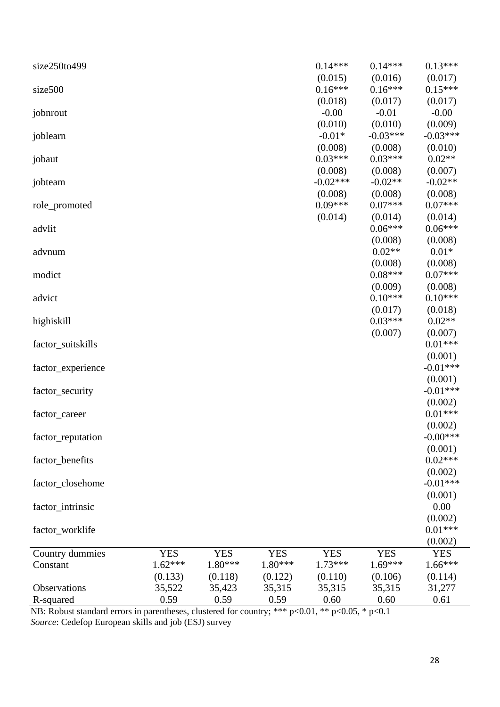| size250to499      |                   |                |                | $0.14***$            | $0.14***$            | $0.13***$            |
|-------------------|-------------------|----------------|----------------|----------------------|----------------------|----------------------|
|                   |                   |                |                | (0.015)              | (0.016)              | (0.017)              |
| size500           |                   |                |                | $0.16***$            | $0.16***$            | $0.15***$            |
|                   |                   |                |                | (0.018)              | (0.017)              | (0.017)              |
| jobnrout          |                   |                |                | $-0.00$              | $-0.01$              | $-0.00$              |
|                   |                   |                |                | (0.010)              | (0.010)              | (0.009)              |
| joblearn          |                   |                |                | $-0.01*$             | $-0.03***$           | $-0.03***$           |
|                   |                   |                |                | (0.008)              | (0.008)              | (0.010)              |
| jobaut            |                   |                |                | $0.03***$            | $0.03***$            | $0.02**$             |
|                   |                   |                |                | (0.008)              | (0.008)              | (0.007)              |
| jobteam           |                   |                |                | $-0.02***$           | $-0.02**$            | $-0.02**$            |
|                   |                   |                |                | (0.008)<br>$0.09***$ | (0.008)              | (0.008)              |
| role_promoted     |                   |                |                |                      | $0.07***$            | $0.07***$            |
|                   |                   |                |                | (0.014)              | (0.014)<br>$0.06***$ | (0.014)<br>$0.06***$ |
| advlit            |                   |                |                |                      |                      |                      |
|                   |                   |                |                |                      | (0.008)<br>$0.02**$  | (0.008)<br>$0.01*$   |
| advnum            |                   |                |                |                      | (0.008)              | (0.008)              |
| modict            |                   |                |                |                      | $0.08***$            | $0.07***$            |
|                   |                   |                |                |                      | (0.009)              | (0.008)              |
| advict            |                   |                |                |                      | $0.10***$            | $0.10***$            |
|                   |                   |                |                |                      | (0.017)              | (0.018)              |
| highiskill        |                   |                |                |                      | $0.03***$            | $0.02**$             |
|                   |                   |                |                |                      | (0.007)              | (0.007)              |
| factor_suitskills |                   |                |                |                      |                      | $0.01***$            |
|                   |                   |                |                |                      |                      | (0.001)              |
| factor_experience |                   |                |                |                      |                      | $-0.01***$           |
|                   |                   |                |                |                      |                      | (0.001)              |
| factor_security   |                   |                |                |                      |                      | $-0.01***$           |
|                   |                   |                |                |                      |                      | (0.002)              |
| factor_career     |                   |                |                |                      |                      | $0.01***$            |
|                   |                   |                |                |                      |                      | (0.002)              |
| factor_reputation |                   |                |                |                      |                      | $-0.00***$           |
|                   |                   |                |                |                      |                      | (0.001)              |
| factor_benefits   |                   |                |                |                      |                      | $0.02***$            |
|                   |                   |                |                |                      |                      | (0.002)              |
| factor_closehome  |                   |                |                |                      |                      | $-0.01***$           |
|                   |                   |                |                |                      |                      | (0.001)              |
| factor_intrinsic  |                   |                |                |                      |                      | 0.00                 |
|                   |                   |                |                |                      |                      | (0.002)              |
| factor_worklife   |                   |                |                |                      |                      | $0.01***$            |
|                   |                   |                |                |                      |                      | (0.002)              |
| Country dummies   | <b>YES</b>        | <b>YES</b>     | <b>YES</b>     | <b>YES</b>           | <b>YES</b>           | <b>YES</b>           |
| Constant          | $1.62***$         | 1.80***        | 1.80***        | $1.73***$            | $1.69***$            | $1.66***$            |
| Observations      | (0.133)<br>35,522 | (0.118)        | (0.122)        | (0.110)<br>35,315    | (0.106)<br>35,315    | (0.114)              |
| R-squared         | 0.59              | 35,423<br>0.59 | 35,315<br>0.59 | 0.60                 | 0.60                 | 31,277<br>0.61       |
|                   |                   |                |                |                      |                      |                      |

NB: Robust standard errors in parentheses, clustered for country; \*\*\* p<0.01, \*\* p<0.05, \* p<0.1 *Source*: Cedefop European skills and job (ESJ) survey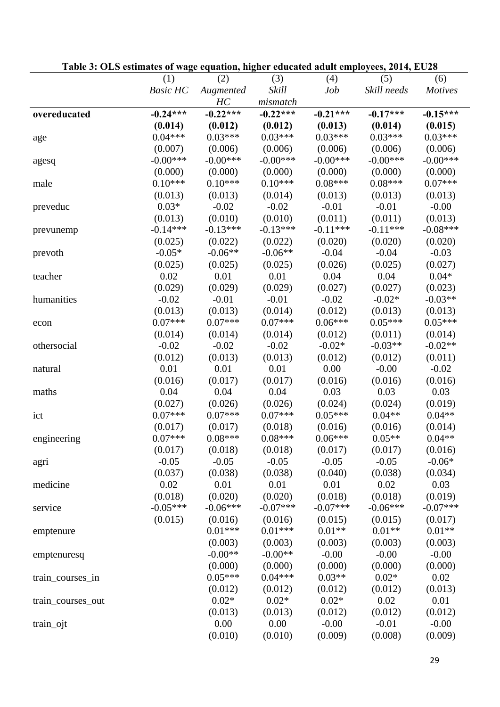|                   | (1)             | (2)        | (3)        | (4)        | (5)         | (6)            |
|-------------------|-----------------|------------|------------|------------|-------------|----------------|
|                   | <b>Basic HC</b> | Augmented  | Skill      | Job        | Skill needs | <b>Motives</b> |
|                   |                 | HC         | mismatch   |            |             |                |
| overeducated      | $-0.24***$      | $-0.22***$ | $-0.22***$ | $-0.21***$ | $-0.17***$  | $-0.15***$     |
|                   | (0.014)         | (0.012)    | (0.012)    | (0.013)    | (0.014)     | (0.015)        |
| age               | $0.04***$       | $0.03***$  | $0.03***$  | $0.03***$  | $0.03***$   | $0.03***$      |
|                   | (0.007)         | (0.006)    | (0.006)    | (0.006)    | (0.006)     | (0.006)        |
| agesq             | $-0.00***$      | $-0.00***$ | $-0.00***$ | $-0.00***$ | $-0.00***$  | $-0.00***$     |
|                   | (0.000)         | (0.000)    | (0.000)    | (0.000)    | (0.000)     | (0.000)        |
| male              | $0.10***$       | $0.10***$  | $0.10***$  | $0.08***$  | $0.08***$   | $0.07***$      |
|                   | (0.013)         | (0.013)    | (0.014)    | (0.013)    | (0.013)     | (0.013)        |
| preveduc          | $0.03*$         | $-0.02$    | $-0.02$    | $-0.01$    | $-0.01$     | $-0.00$        |
|                   | (0.013)         | (0.010)    | (0.010)    | (0.011)    | (0.011)     | (0.013)        |
| prevunemp         | $-0.14***$      | $-0.13***$ | $-0.13***$ | $-0.11***$ | $-0.11***$  | $-0.08***$     |
|                   | (0.025)         | (0.022)    | (0.022)    | (0.020)    | (0.020)     | (0.020)        |
| prevoth           | $-0.05*$        | $-0.06**$  | $-0.06**$  | $-0.04$    | $-0.04$     | $-0.03$        |
|                   | (0.025)         | (0.025)    | (0.025)    | (0.026)    | (0.025)     | (0.027)        |
| teacher           | 0.02            | 0.01       | 0.01       | 0.04       | 0.04        | $0.04*$        |
|                   | (0.029)         | (0.029)    | (0.029)    | (0.027)    | (0.027)     | (0.023)        |
| humanities        | $-0.02$         | $-0.01$    | $-0.01$    | $-0.02$    | $-0.02*$    | $-0.03**$      |
|                   | (0.013)         | (0.013)    | (0.014)    | (0.012)    | (0.013)     | (0.013)        |
| econ              | $0.07***$       | $0.07***$  | $0.07***$  | $0.06***$  | $0.05***$   | $0.05***$      |
|                   | (0.014)         | (0.014)    | (0.014)    | (0.012)    | (0.011)     | (0.014)        |
| othersocial       | $-0.02$         | $-0.02$    | $-0.02$    | $-0.02*$   | $-0.03**$   | $-0.02**$      |
|                   | (0.012)         | (0.013)    | (0.013)    | (0.012)    | (0.012)     | (0.011)        |
| natural           | 0.01            | 0.01       | 0.01       | 0.00       | $-0.00$     | $-0.02$        |
|                   | (0.016)         | (0.017)    | (0.017)    | (0.016)    | (0.016)     | (0.016)        |
| maths             | 0.04            | 0.04       | 0.04       | 0.03       | 0.03        | 0.03           |
|                   | (0.027)         | (0.026)    | (0.026)    | (0.024)    | (0.024)     | (0.019)        |
| ict               | $0.07***$       | $0.07***$  | $0.07***$  | $0.05***$  | $0.04**$    | $0.04**$       |
|                   | (0.017)         | (0.017)    | (0.018)    | (0.016)    | (0.016)     | (0.014)        |
| engineering       | $0.07***$       | $0.08***$  | $0.08***$  | $0.06***$  | $0.05**$    | $0.04**$       |
|                   | (0.017)         | (0.018)    | (0.018)    | (0.017)    | (0.017)     | (0.016)        |
| agri              | $-0.05$         | $-0.05$    | $-0.05$    | $-0.05$    | $-0.05$     | $-0.06*$       |
|                   | (0.037)         | (0.038)    | (0.038)    | (0.040)    | (0.038)     | (0.034)        |
| medicine          | 0.02            | 0.01       | 0.01       | 0.01       | 0.02        | 0.03           |
|                   | (0.018)         | (0.020)    | (0.020)    | (0.018)    | (0.018)     | (0.019)        |
| service           | $-0.05***$      | $-0.06***$ | $-0.07***$ | $-0.07***$ | $-0.06***$  | $-0.07***$     |
|                   | (0.015)         | (0.016)    | (0.016)    | (0.015)    | (0.015)     | (0.017)        |
| emptenure         |                 | $0.01***$  | $0.01***$  | $0.01**$   | $0.01**$    | $0.01**$       |
|                   |                 | (0.003)    | (0.003)    | (0.003)    | (0.003)     | (0.003)        |
| emptenuresq       |                 | $-0.00**$  | $-0.00**$  | $-0.00$    | $-0.00$     | $-0.00$        |
|                   |                 | (0.000)    | (0.000)    | (0.000)    | (0.000)     | (0.000)        |
| train_courses_in  |                 | $0.05***$  | $0.04***$  | $0.03**$   | $0.02*$     | 0.02           |
|                   |                 | (0.012)    | (0.012)    | (0.012)    | (0.012)     | (0.013)        |
| train_courses_out |                 | $0.02*$    | $0.02*$    | $0.02*$    | 0.02        | 0.01           |
|                   |                 | (0.013)    | (0.013)    | (0.012)    | (0.012)     | (0.012)        |
| train_ojt         |                 | 0.00       | 0.00       | $-0.00$    | $-0.01$     | $-0.00$        |
|                   |                 | (0.010)    | (0.010)    | (0.009)    | (0.008)     | (0.009)        |

**Table 3: OLS estimates of wage equation, higher educated adult employees, 2014, EU28**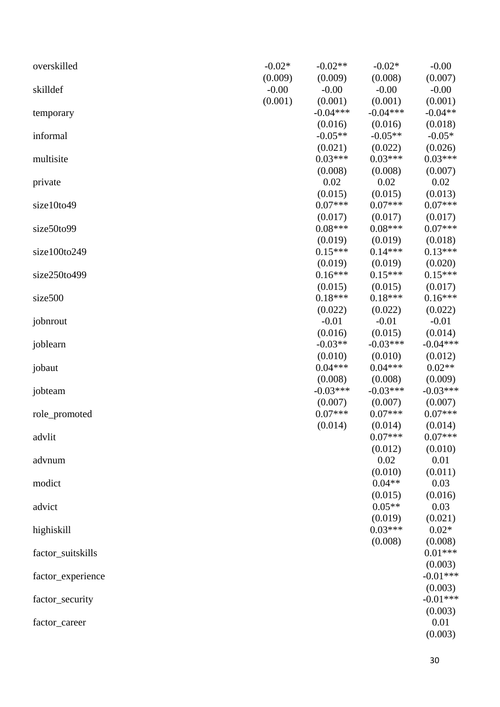| overskilled       | $-0.02*$ | $-0.02**$  | $-0.02*$             | $-0.00$              |
|-------------------|----------|------------|----------------------|----------------------|
|                   | (0.009)  | (0.009)    | (0.008)              | (0.007)              |
| skilldef          | $-0.00$  | $-0.00$    | $-0.00$              | $-0.00$              |
|                   | (0.001)  | (0.001)    | (0.001)              | (0.001)              |
| temporary         |          | $-0.04***$ | $-0.04***$           | $-0.04**$            |
|                   |          | (0.016)    | (0.016)              | (0.018)              |
| informal          |          | $-0.05**$  | $-0.05**$            | $-0.05*$             |
|                   |          | (0.021)    | (0.022)              | (0.026)              |
| multisite         |          | $0.03***$  | $0.03***$            | $0.03***$            |
|                   |          | (0.008)    | (0.008)              | (0.007)              |
| private           |          | 0.02       | 0.02                 | 0.02                 |
|                   |          | (0.015)    | (0.015)              | (0.013)              |
| size10to49        |          | $0.07***$  | $0.07***$            | $0.07***$            |
|                   |          | (0.017)    | (0.017)              | (0.017)              |
| size50to99        |          | $0.08***$  | $0.08***$            | $0.07***$            |
|                   |          | (0.019)    | (0.019)              | (0.018)              |
| $size100$ to249   |          | $0.15***$  | $0.14***$            | $0.13***$            |
|                   |          | (0.019)    | (0.019)              | (0.020)              |
| size250to499      |          | $0.16***$  | $0.15***$            | $0.15***$            |
|                   |          | (0.015)    | (0.015)              | (0.017)              |
| size500           |          | $0.18***$  | $0.18***$            | $0.16***$            |
|                   |          | (0.022)    | (0.022)              | (0.022)              |
| jobnrout          |          | $-0.01$    | $-0.01$              | $-0.01$              |
|                   |          | (0.016)    | (0.015)              | (0.014)              |
| joblearn          |          | $-0.03**$  | $-0.03***$           | $-0.04***$           |
|                   |          | (0.010)    | (0.010)              | (0.012)              |
| jobaut            |          | $0.04***$  | $0.04***$            | $0.02**$             |
|                   |          | (0.008)    | (0.008)              | (0.009)              |
| jobteam           |          | $-0.03***$ | $-0.03***$           | $-0.03***$           |
|                   |          | (0.007)    | (0.007)              | (0.007)              |
| role_promoted     |          | $0.07***$  | $0.07***$            | $0.07***$            |
|                   |          | (0.014)    | (0.014)              | (0.014)              |
| advlit            |          |            | $0.07***$            | $0.07***$            |
|                   |          |            | (0.012)              | (0.010)              |
| advnum            |          |            | 0.02                 | 0.01                 |
|                   |          |            | (0.010)              | (0.011)              |
| modict            |          |            | $0.04**$             | 0.03                 |
|                   |          |            | (0.015)              | (0.016)              |
| advict            |          |            | $0.05**$             | 0.03                 |
|                   |          |            | (0.019)<br>$0.03***$ | (0.021)<br>$0.02*$   |
| highiskill        |          |            |                      |                      |
| factor_suitskills |          |            | (0.008)              | (0.008)<br>$0.01***$ |
|                   |          |            |                      | (0.003)              |
| factor_experience |          |            |                      | $-0.01***$           |
|                   |          |            |                      | (0.003)              |
| factor_security   |          |            |                      | $-0.01***$           |
|                   |          |            |                      | (0.003)              |
| factor_career     |          |            |                      | 0.01                 |
|                   |          |            |                      | (0.003)              |
|                   |          |            |                      |                      |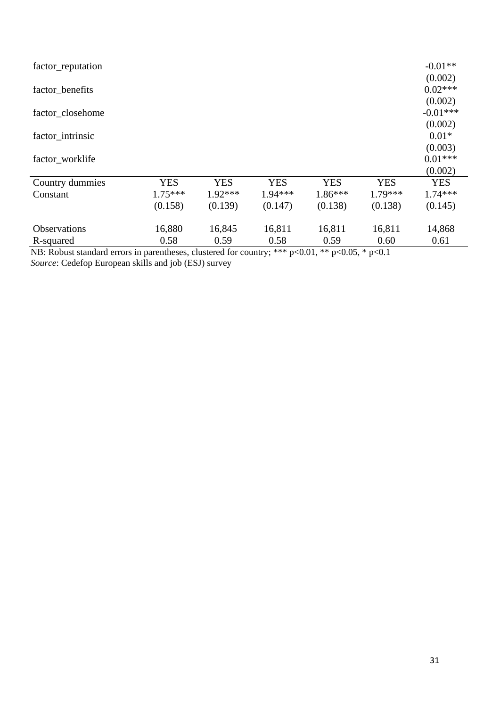| factor_reputation   |            |            |            |            |            | $-0.01**$            |
|---------------------|------------|------------|------------|------------|------------|----------------------|
|                     |            |            |            |            |            | (0.002)<br>$0.02***$ |
| factor_benefits     |            |            |            |            |            | (0.002)              |
| factor_closehome    |            |            |            |            |            | $-0.01***$           |
|                     |            |            |            |            |            | (0.002)              |
| factor_intrinsic    |            |            |            |            |            | $0.01*$              |
|                     |            |            |            |            |            | (0.003)              |
| factor_worklife     |            |            |            |            |            | $0.01***$            |
|                     |            |            |            |            |            | (0.002)              |
| Country dummies     | <b>YES</b> | <b>YES</b> | <b>YES</b> | <b>YES</b> | <b>YES</b> | <b>YES</b>           |
| Constant            | $1.75***$  | $1.92***$  | $1.94***$  | $1.86***$  | $1.79***$  | $1.74***$            |
|                     | (0.158)    | (0.139)    | (0.147)    | (0.138)    | (0.138)    | (0.145)              |
| <b>Observations</b> | 16,880     | 16,845     | 16,811     | 16,811     | 16,811     | 14,868               |
| R-squared           | 0.58       | 0.59       | 0.58       | 0.59       | 0.60       | 0.61                 |

NB: Robust standard errors in parentheses, clustered for country; \*\*\* p<0.01, \*\* p<0.05, \* p<0.1 *Source*: Cedefop European skills and job (ESJ) survey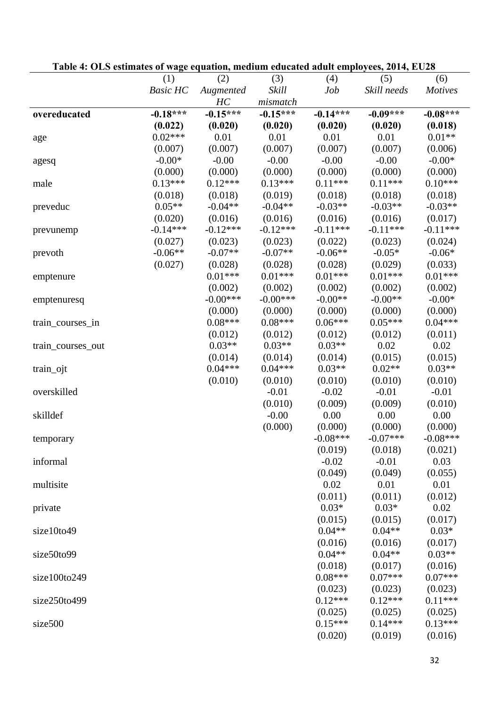| 1 avit 4. OLD tsumatts of wagt equation, inculum cultated audit employets, 2014, EO20 | (1)             |            |              |                     | (5)                 | (6)            |
|---------------------------------------------------------------------------------------|-----------------|------------|--------------|---------------------|---------------------|----------------|
|                                                                                       | <b>Basic HC</b> | (2)        | (3)<br>Skill | (4)<br>Job          | Skill needs         |                |
|                                                                                       |                 | Augmented  |              |                     |                     | <b>Motives</b> |
|                                                                                       |                 | HC         | mismatch     |                     |                     |                |
| overeducated                                                                          | $-0.18***$      | $-0.15***$ | $-0.15***$   | $-0.14***$          | $-0.09***$          | $-0.08***$     |
|                                                                                       | (0.022)         | (0.020)    | (0.020)      | (0.020)             | (0.020)             | (0.018)        |
| age                                                                                   | $0.02***$       | 0.01       | 0.01         | 0.01                | 0.01                | $0.01**$       |
|                                                                                       | (0.007)         | (0.007)    | (0.007)      | (0.007)             | (0.007)             | (0.006)        |
| agesq                                                                                 | $-0.00*$        | $-0.00$    | $-0.00$      | $-0.00$             | $-0.00$             | $-0.00*$       |
|                                                                                       | (0.000)         | (0.000)    | (0.000)      | (0.000)             | (0.000)             | (0.000)        |
| male                                                                                  | $0.13***$       | $0.12***$  | $0.13***$    | $0.11***$           | $0.11***$           | $0.10***$      |
|                                                                                       | (0.018)         | (0.018)    | (0.019)      | (0.018)             | (0.018)             | (0.018)        |
| preveduc                                                                              | $0.05**$        | $-0.04**$  | $-0.04**$    | $-0.03**$           | $-0.03**$           | $-0.03**$      |
|                                                                                       | (0.020)         | (0.016)    | (0.016)      | (0.016)             | (0.016)             | (0.017)        |
| prevunemp                                                                             | $-0.14***$      | $-0.12***$ | $-0.12***$   | $-0.11***$          | $-0.11***$          | $-0.11***$     |
|                                                                                       | (0.027)         | (0.023)    | (0.023)      | (0.022)             | (0.023)             | (0.024)        |
| prevoth                                                                               | $-0.06**$       | $-0.07**$  | $-0.07**$    | $-0.06**$           | $-0.05*$            | $-0.06*$       |
|                                                                                       | (0.027)         | (0.028)    | (0.028)      | (0.028)             | (0.029)             | (0.033)        |
| emptenure                                                                             |                 | $0.01***$  | $0.01***$    | $0.01***$           | $0.01***$           | $0.01***$      |
|                                                                                       |                 | (0.002)    | (0.002)      | (0.002)             | (0.002)             | (0.002)        |
| emptenuresq                                                                           |                 | $-0.00***$ | $-0.00***$   | $-0.00**$           | $-0.00**$           | $-0.00*$       |
|                                                                                       |                 | (0.000)    | (0.000)      | (0.000)             | (0.000)             | (0.000)        |
| train_courses_in                                                                      |                 | $0.08***$  | $0.08***$    | $0.06***$           | $0.05***$           | $0.04***$      |
|                                                                                       |                 | (0.012)    | (0.012)      | (0.012)             | (0.012)             | (0.011)        |
| train_courses_out                                                                     |                 | $0.03**$   | $0.03**$     | $0.03**$            | 0.02                | 0.02           |
|                                                                                       |                 | (0.014)    | (0.014)      | (0.014)             | (0.015)             | (0.015)        |
| train_ojt                                                                             |                 | $0.04***$  | $0.04***$    | $0.03**$            | $0.02**$            | $0.03**$       |
|                                                                                       |                 | (0.010)    | (0.010)      | (0.010)             | (0.010)             | (0.010)        |
| overskilled                                                                           |                 |            | $-0.01$      | $-0.02$             | $-0.01$             | $-0.01$        |
|                                                                                       |                 |            | (0.010)      | (0.009)             | (0.009)             | (0.010)        |
| skilldef                                                                              |                 |            | $-0.00$      | 0.00                | 0.00                | 0.00           |
|                                                                                       |                 |            | (0.000)      | (0.000)             | (0.000)             | (0.000)        |
| temporary                                                                             |                 |            |              | $-0.08***$          | $-0.07***$          | $-0.08***$     |
|                                                                                       |                 |            |              | (0.019)             | (0.018)             | (0.021)        |
| informal                                                                              |                 |            |              | $-0.02$             | $-0.01$             | 0.03           |
|                                                                                       |                 |            |              | (0.049)             | (0.049)             | (0.055)        |
| multisite                                                                             |                 |            |              | 0.02                | 0.01                | 0.01           |
|                                                                                       |                 |            |              | (0.011)             | (0.011)             | (0.012)        |
|                                                                                       |                 |            |              | $0.03*$             | $0.03*$             | 0.02           |
| private                                                                               |                 |            |              | (0.015)             |                     | (0.017)        |
| size10to49                                                                            |                 |            |              | $0.04**$            | (0.015)<br>$0.04**$ | $0.03*$        |
|                                                                                       |                 |            |              |                     |                     |                |
|                                                                                       |                 |            |              | (0.016)<br>$0.04**$ | (0.016)<br>$0.04**$ | (0.017)        |
| size50to99                                                                            |                 |            |              |                     |                     | $0.03**$       |
|                                                                                       |                 |            |              | (0.018)             | (0.017)             | (0.016)        |
| size100to249                                                                          |                 |            |              | $0.08***$           | $0.07***$           | $0.07***$      |
|                                                                                       |                 |            |              | (0.023)             | (0.023)             | (0.023)        |
| size250to499                                                                          |                 |            |              | $0.12***$           | $0.12***$           | $0.11***$      |
|                                                                                       |                 |            |              | (0.025)             | (0.025)             | (0.025)        |
| size500                                                                               |                 |            |              | $0.15***$           | $0.14***$           | $0.13***$      |
|                                                                                       |                 |            |              | (0.020)             | (0.019)             | (0.016)        |

**Table 4: OLS estimates of wage equation, medium educated adult employees, 2014, EU28**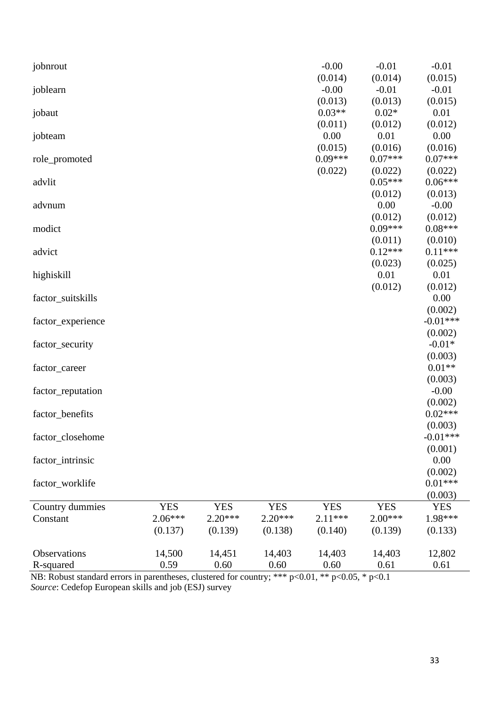| jobnrout          |            |            |            | $-0.00$            | $-0.01$            | $-0.01$            |
|-------------------|------------|------------|------------|--------------------|--------------------|--------------------|
|                   |            |            |            | (0.014)<br>$-0.00$ | (0.014)<br>$-0.01$ | (0.015)            |
| joblearn          |            |            |            | (0.013)            | (0.013)            | $-0.01$<br>(0.015) |
| jobaut            |            |            |            | $0.03**$           | $0.02*$            | 0.01               |
|                   |            |            |            | (0.011)            | (0.012)            | (0.012)            |
| jobteam           |            |            |            | 0.00               | 0.01               | 0.00               |
|                   |            |            |            | (0.015)            | (0.016)            | (0.016)            |
| role_promoted     |            |            |            | $0.09***$          | $0.07***$          | $0.07***$          |
|                   |            |            |            | (0.022)            | (0.022)            | (0.022)            |
| advlit            |            |            |            |                    | $0.05***$          | $0.06***$          |
|                   |            |            |            |                    | (0.012)            | (0.013)            |
| advnum            |            |            |            |                    | 0.00               | $-0.00$            |
|                   |            |            |            |                    | (0.012)            | (0.012)            |
| modict            |            |            |            |                    | $0.09***$          | $0.08***$          |
|                   |            |            |            |                    | (0.011)            | (0.010)            |
| advict            |            |            |            |                    | $0.12***$          | $0.11***$          |
|                   |            |            |            |                    | (0.023)            | (0.025)            |
| highiskill        |            |            |            |                    | 0.01               | 0.01               |
|                   |            |            |            |                    | (0.012)            | (0.012)            |
| factor_suitskills |            |            |            |                    |                    | 0.00               |
|                   |            |            |            |                    |                    | (0.002)            |
| factor_experience |            |            |            |                    |                    | $-0.01***$         |
|                   |            |            |            |                    |                    | (0.002)            |
| factor_security   |            |            |            |                    |                    | $-0.01*$           |
|                   |            |            |            |                    |                    | (0.003)            |
| factor_career     |            |            |            |                    |                    | $0.01**$           |
|                   |            |            |            |                    |                    | (0.003)            |
| factor_reputation |            |            |            |                    |                    | $-0.00$            |
|                   |            |            |            |                    |                    | (0.002)            |
| factor_benefits   |            |            |            |                    |                    | $0.02***$          |
|                   |            |            |            |                    |                    | (0.003)            |
| factor_closehome  |            |            |            |                    |                    | $-0.01***$         |
|                   |            |            |            |                    |                    | (0.001)<br>0.00    |
| factor_intrinsic  |            |            |            |                    |                    | (0.002)            |
| factor_worklife   |            |            |            |                    |                    | $0.01***$          |
|                   |            |            |            |                    |                    | (0.003)            |
| Country dummies   | <b>YES</b> | <b>YES</b> | <b>YES</b> | <b>YES</b>         | <b>YES</b>         | <b>YES</b>         |
| Constant          | $2.06***$  | $2.20***$  | $2.20***$  | $2.11***$          | $2.00***$          | 1.98***            |
|                   | (0.137)    | (0.139)    | (0.138)    | (0.140)            | (0.139)            | (0.133)            |
|                   |            |            |            |                    |                    |                    |
| Observations      | 14,500     | 14,451     | 14,403     | 14,403             | 14,403             | 12,802             |
| R-squared         | 0.59       | 0.60       | 0.60       | 0.60               | 0.61               | 0.61               |

NB: Robust standard errors in parentheses, clustered for country; \*\*\* p<0.01, \*\* p<0.05, \* p<0.1 *Source*: Cedefop European skills and job (ESJ) survey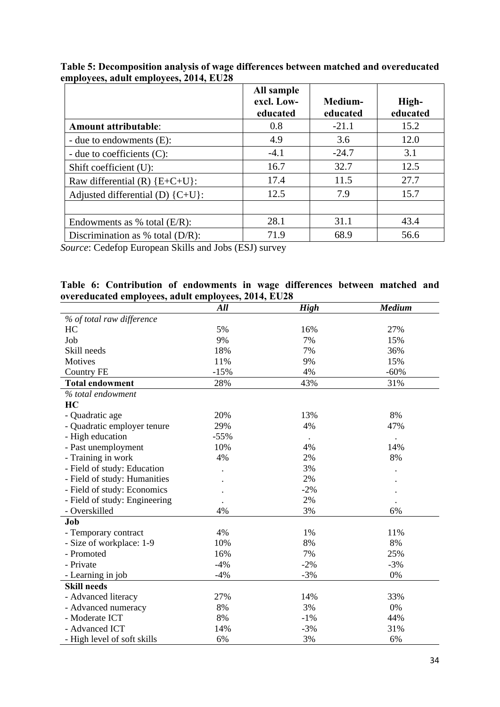|                                       | All sample<br>excl. Low-<br>educated | Medium-<br>educated | High-<br>educated |
|---------------------------------------|--------------------------------------|---------------------|-------------------|
| <b>Amount attributable:</b>           | 0.8                                  | $-21.1$             | 15.2              |
| - due to endowments (E):              | 4.9                                  | 3.6                 | 12.0              |
| - due to coefficients $(C)$ :         | $-4.1$                               | $-24.7$             | 3.1               |
| Shift coefficient (U):                | 16.7                                 | 32.7                | 12.5              |
| Raw differential $(R)$ {E+C+U}:       | 17.4                                 | 11.5                | 27.7              |
| Adjusted differential (D) $\{C+U\}$ : | 12.5                                 | 7.9                 | 15.7              |
|                                       |                                      |                     |                   |
| Endowments as % total $(E/R)$ :       | 28.1                                 | 31.1                | 43.4              |
| Discrimination as % total (D/R):      | 71.9                                 | 68.9                | 56.6              |

**Table 5: Decomposition analysis of wage differences between matched and overeducated employees, adult employees, 2014, EU28** 

|  |                                                     |  |  |  | Table 6: Contribution of endowments in wage differences between matched and |  |  |
|--|-----------------------------------------------------|--|--|--|-----------------------------------------------------------------------------|--|--|
|  | overeducated employees, adult employees, 2014, EU28 |  |  |  |                                                                             |  |  |

|                               | All    | <b>High</b> | <b>Medium</b> |
|-------------------------------|--------|-------------|---------------|
| % of total raw difference     |        |             |               |
| HC                            | 5%     | 16%         | 27%           |
| Job                           | 9%     | 7%          | 15%           |
| Skill needs                   | 18%    | 7%          | 36%           |
| Motives                       | 11%    | 9%          | 15%           |
| <b>Country FE</b>             | $-15%$ | 4%          | $-60%$        |
| <b>Total endowment</b>        | 28%    | 43%         | 31%           |
| % total endowment             |        |             |               |
| HC                            |        |             |               |
| - Quadratic age               | 20%    | 13%         | 8%            |
| - Quadratic employer tenure   | 29%    | 4%          | 47%           |
| - High education              | $-55%$ |             |               |
| - Past unemployment           | 10%    | 4%          | 14%           |
| - Training in work            | 4%     | 2%          | 8%            |
| - Field of study: Education   |        | 3%          |               |
| - Field of study: Humanities  |        | 2%          |               |
| - Field of study: Economics   |        | $-2%$       |               |
| - Field of study: Engineering |        | 2%          |               |
| - Overskilled                 | 4%     | 3%          | 6%            |
| Job                           |        |             |               |
| - Temporary contract          | 4%     | 1%          | 11%           |
| - Size of workplace: 1-9      | 10%    | 8%          | 8%            |
| - Promoted                    | 16%    | 7%          | 25%           |
| - Private                     | $-4%$  | $-2%$       | $-3%$         |
| - Learning in job             | $-4%$  | $-3%$       | 0%            |
| <b>Skill needs</b>            |        |             |               |
| - Advanced literacy           | 27%    | 14%         | 33%           |
| - Advanced numeracy           | 8%     | 3%          | 0%            |
| - Moderate ICT                | 8%     | $-1\%$      | 44%           |
| - Advanced ICT                | 14%    | $-3%$       | 31%           |
| - High level of soft skills   | 6%     | 3%          | 6%            |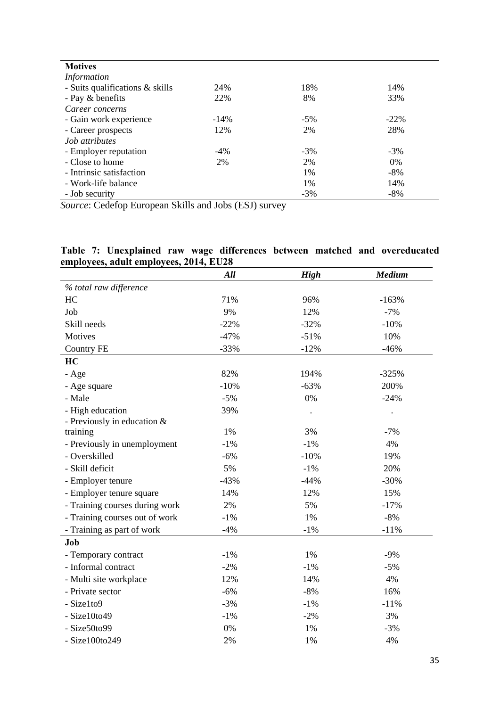| <b>Motives</b>                  |        |        |         |
|---------------------------------|--------|--------|---------|
| <b>Information</b>              |        |        |         |
| - Suits qualifications & skills | 24%    | 18%    | 14%     |
| - Pay & benefits                | 22%    | 8%     | 33%     |
| Career concerns                 |        |        |         |
| - Gain work experience          | $-14%$ | $-5\%$ | $-22\%$ |
| - Career prospects              | 12%    | 2%     | 28%     |
| Job attributes                  |        |        |         |
| - Employer reputation           | $-4\%$ | $-3\%$ | $-3%$   |
| - Close to home                 | 2%     | 2%     | 0%      |
| - Intrinsic satisfaction        |        | $1\%$  | $-8%$   |
| - Work-life balance             |        | $1\%$  | 14%     |
| - Job security                  |        | $-3%$  | $-8%$   |

#### **Table 7: Unexplained raw wage differences between matched and overeducated employees, adult employees, 2014, EU28**

|                                | All    | <b>High</b> | <b>Medium</b> |
|--------------------------------|--------|-------------|---------------|
| % total raw difference         |        |             |               |
| HC                             | 71%    | 96%         | $-163%$       |
| Job                            | 9%     | 12%         | $-7%$         |
| Skill needs                    | $-22%$ | $-32%$      | $-10%$        |
| Motives                        | $-47%$ | $-51%$      | 10%           |
| <b>Country FE</b>              | $-33%$ | $-12%$      | $-46%$        |
| HC                             |        |             |               |
| - Age                          | 82%    | 194%        | $-325%$       |
| - Age square                   | $-10%$ | $-63%$      | 200%          |
| - Male                         | $-5%$  | 0%          | $-24%$        |
| - High education               | 39%    |             |               |
| - Previously in education &    |        |             |               |
| training                       | 1%     | 3%          | $-7%$         |
| - Previously in unemployment   | $-1%$  | $-1%$       | 4%            |
| - Overskilled                  | $-6%$  | $-10%$      | 19%           |
| - Skill deficit                | 5%     | $-1\%$      | 20%           |
| - Employer tenure              | $-43%$ | $-44%$      | $-30%$        |
| - Employer tenure square       | 14%    | 12%         | 15%           |
| - Training courses during work | 2%     | 5%          | $-17%$        |
| - Training courses out of work | $-1\%$ | 1%          | $-8%$         |
| - Training as part of work     | $-4%$  | $-1\%$      | $-11%$        |
| Job                            |        |             |               |
| - Temporary contract           | $-1%$  | 1%          | $-9%$         |
| - Informal contract            | $-2%$  | $-1\%$      | $-5%$         |
| - Multi site workplace         | 12%    | 14%         | 4%            |
| - Private sector               | $-6%$  | $-8%$       | 16%           |
| - Size1to9                     | $-3%$  | $-1\%$      | $-11%$        |
| $-$ Size $10$ to49             | $-1%$  | $-2%$       | 3%            |
| $-Size50to99$                  | 0%     | 1%          | $-3%$         |
| $-$ Size $100$ to249           | 2%     | 1%          | 4%            |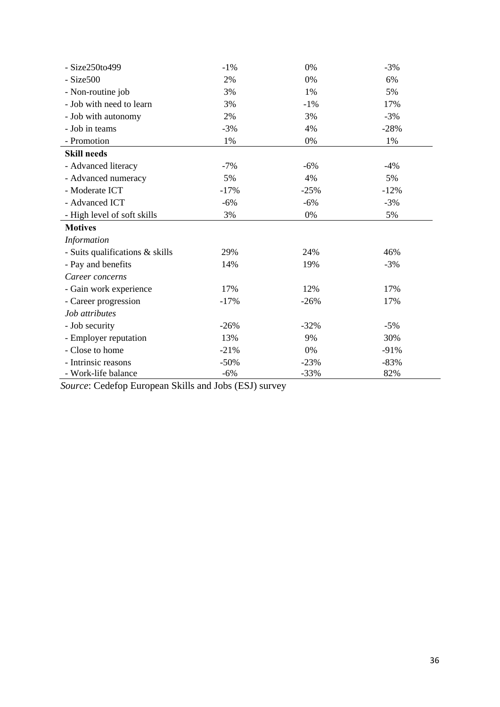| $-$ Size $250$ to $499$         | $-1\%$ | 0%     | $-3%$  |
|---------------------------------|--------|--------|--------|
| $-$ Size $500$                  | 2%     | 0%     | 6%     |
| - Non-routine job               | 3%     | 1%     | 5%     |
| - Job with need to learn        | 3%     | $-1%$  | 17%    |
| - Job with autonomy             | 2%     | 3%     | $-3%$  |
| - Job in teams                  | $-3%$  | 4%     | $-28%$ |
| - Promotion                     | 1%     | 0%     | 1%     |
| <b>Skill needs</b>              |        |        |        |
| - Advanced literacy             | $-7%$  | $-6%$  | $-4%$  |
| - Advanced numeracy             | 5%     | 4%     | 5%     |
| - Moderate ICT                  | $-17%$ | $-25%$ | $-12%$ |
| - Advanced ICT                  | $-6%$  | $-6%$  | $-3%$  |
| - High level of soft skills     | 3%     | 0%     | 5%     |
| <b>Motives</b>                  |        |        |        |
| <b>Information</b>              |        |        |        |
| - Suits qualifications & skills | 29%    | 24%    | 46%    |
| - Pay and benefits              | 14%    | 19%    | $-3%$  |
| Career concerns                 |        |        |        |
| - Gain work experience          | 17%    | 12%    | 17%    |
| - Career progression            | $-17%$ | $-26%$ | 17%    |
| Job attributes                  |        |        |        |
| - Job security                  | $-26%$ | $-32%$ | $-5%$  |
| - Employer reputation           | 13%    | 9%     | 30%    |
| - Close to home                 | $-21%$ | 0%     | $-91%$ |
| - Intrinsic reasons             | $-50%$ | $-23%$ | $-83%$ |
| - Work-life balance             | $-6%$  | $-33%$ | 82%    |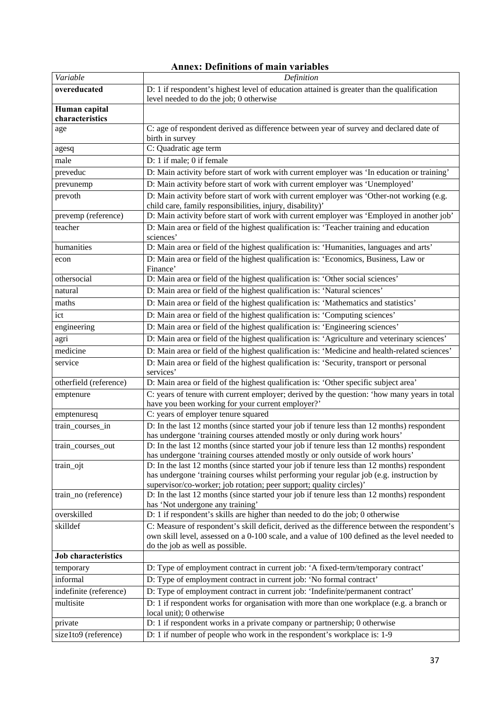| Variable                   | Definition                                                                                                                                                               |
|----------------------------|--------------------------------------------------------------------------------------------------------------------------------------------------------------------------|
| overeducated               | D: 1 if respondent's highest level of education attained is greater than the qualification<br>level needed to do the job; 0 otherwise                                    |
| Human capital              |                                                                                                                                                                          |
| characteristics            |                                                                                                                                                                          |
| age                        | C: age of respondent derived as difference between year of survey and declared date of<br>birth in survey                                                                |
| agesq                      | C: Quadratic age term                                                                                                                                                    |
| male                       | D: 1 if male; 0 if female                                                                                                                                                |
| preveduc                   | D: Main activity before start of work with current employer was 'In education or training'                                                                               |
| prevunemp                  | D: Main activity before start of work with current employer was 'Unemployed'                                                                                             |
| prevoth                    | D: Main activity before start of work with current employer was 'Other-not working (e.g.                                                                                 |
|                            | child care, family responsibilities, injury, disability)'                                                                                                                |
| prevemp (reference)        | D: Main activity before start of work with current employer was 'Employed in another job'                                                                                |
| teacher                    | D: Main area or field of the highest qualification is: 'Teacher training and education<br>sciences'                                                                      |
| humanities                 | D: Main area or field of the highest qualification is: 'Humanities, languages and arts'                                                                                  |
| econ                       | D: Main area or field of the highest qualification is: 'Economics, Business, Law or<br>Finance'                                                                          |
| othersocial                | D: Main area or field of the highest qualification is: 'Other social sciences'                                                                                           |
| natural                    | D: Main area or field of the highest qualification is: 'Natural sciences'                                                                                                |
| maths                      | D: Main area or field of the highest qualification is: 'Mathematics and statistics'                                                                                      |
| ict                        | D: Main area or field of the highest qualification is: 'Computing sciences'                                                                                              |
| engineering                | D: Main area or field of the highest qualification is: 'Engineering sciences'                                                                                            |
| agri                       | D: Main area or field of the highest qualification is: 'Agriculture and veterinary sciences'                                                                             |
| medicine                   | D: Main area or field of the highest qualification is: 'Medicine and health-related sciences'                                                                            |
| service                    | D: Main area or field of the highest qualification is: 'Security, transport or personal                                                                                  |
|                            | services'                                                                                                                                                                |
| otherfield (reference)     | D: Main area or field of the highest qualification is: 'Other specific subject area'                                                                                     |
| emptenure                  | C: years of tenure with current employer; derived by the question: 'how many years in total                                                                              |
|                            | have you been working for your current employer?'                                                                                                                        |
| emptenuresq                | C: years of employer tenure squared                                                                                                                                      |
| train_courses_in           | D: In the last 12 months (since started your job if tenure less than 12 months) respondent<br>has undergone 'training courses attended mostly or only during work hours' |
| train courses out          | D: In the last 12 months (since started your job if tenure less than 12 months) respondent                                                                               |
|                            | has undergone 'training courses attended mostly or only outside of work hours'                                                                                           |
| train_ojt                  | D: In the last 12 months (since started your job if tenure less than 12 months) respondent                                                                               |
|                            | has undergone 'training courses whilst performing your regular job (e.g. instruction by                                                                                  |
|                            | supervisor/co-worker; job rotation; peer support; quality circles)'                                                                                                      |
| train_no (reference)       | D: In the last 12 months (since started your job if tenure less than 12 months) respondent<br>has 'Not undergone any training'                                           |
| overskilled                | D: 1 if respondent's skills are higher than needed to do the job; 0 otherwise                                                                                            |
| skilldef                   | C: Measure of respondent's skill deficit, derived as the difference between the respondent's                                                                             |
|                            | own skill level, assessed on a 0-100 scale, and a value of 100 defined as the level needed to<br>do the job as well as possible.                                         |
| <b>Job characteristics</b> |                                                                                                                                                                          |
| temporary                  | D: Type of employment contract in current job: 'A fixed-term/temporary contract'                                                                                         |
| informal                   | D: Type of employment contract in current job: 'No formal contract'                                                                                                      |
| indefinite (reference)     | D: Type of employment contract in current job: 'Indefinite/permanent contract'                                                                                           |
| multisite                  | D: 1 if respondent works for organisation with more than one workplace (e.g. a branch or                                                                                 |
|                            | local unit); 0 otherwise                                                                                                                                                 |
| private                    | D: 1 if respondent works in a private company or partnership; 0 otherwise                                                                                                |
| size1to9 (reference)       | D: 1 if number of people who work in the respondent's workplace is: 1-9                                                                                                  |

# **Annex: Definitions of main variables**